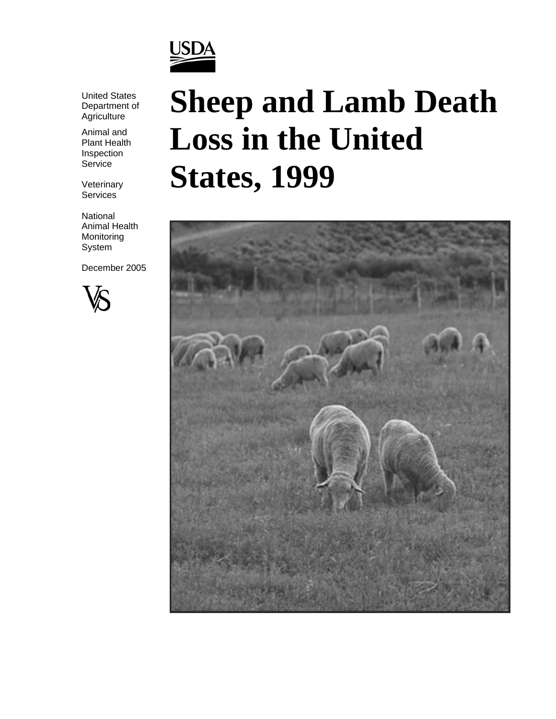

United States Department of **Agriculture** 

Animal and Plant Health Inspection Service

Veterinary **Services** 

National Animal Health Monitoring System

December 2005



# **Sheep and Lamb Death Loss in the United States, 1999**

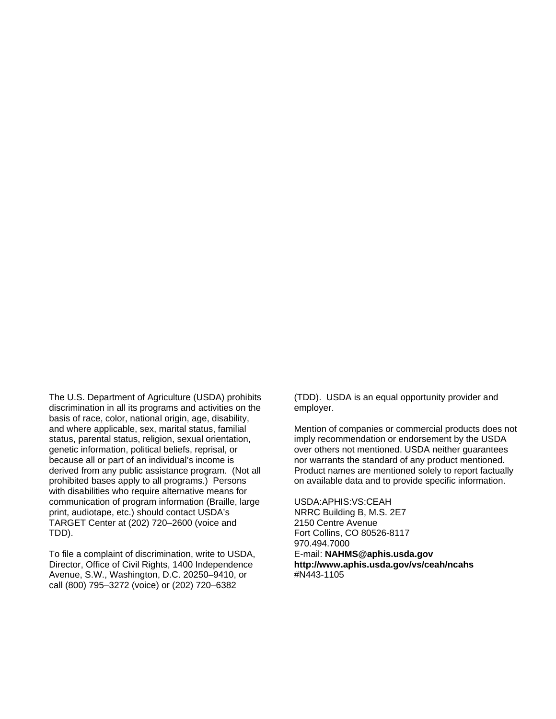The U.S. Department of Agriculture (USDA) prohibits discrimination in all its programs and activities on the basis of race, color, national origin, age, disability, and where applicable, sex, marital status, familial status, parental status, religion, sexual orientation, genetic information, political beliefs, reprisal, or because all or part of an individual's income is derived from any public assistance program. (Not all prohibited bases apply to all programs.) Persons with disabilities who require alternative means for communication of program information (Braille, large print, audiotape, etc.) should contact USDA's TARGET Center at (202) 720–2600 (voice and TDD).

To file a complaint of discrimination, write to USDA, Director, Office of Civil Rights, 1400 Independence Avenue, S.W., Washington, D.C. 20250–9410, or call (800) 795–3272 (voice) or (202) 720–6382

(TDD). USDA is an equal opportunity provider and employer.

Mention of companies or commercial products does not imply recommendation or endorsement by the USDA over others not mentioned. USDA neither guarantees nor warrants the standard of any product mentioned. Product names are mentioned solely to report factually on available data and to provide specific information.

USDA:APHIS:VS:CEAH NRRC Building B, M.S. 2E7 2150 Centre Avenue Fort Collins, CO 80526-8117 970.494.7000 E-mail: **NAHMS@aphis.usda.gov http://www.aphis.usda.gov/vs/ceah/ncahs** #N443-1105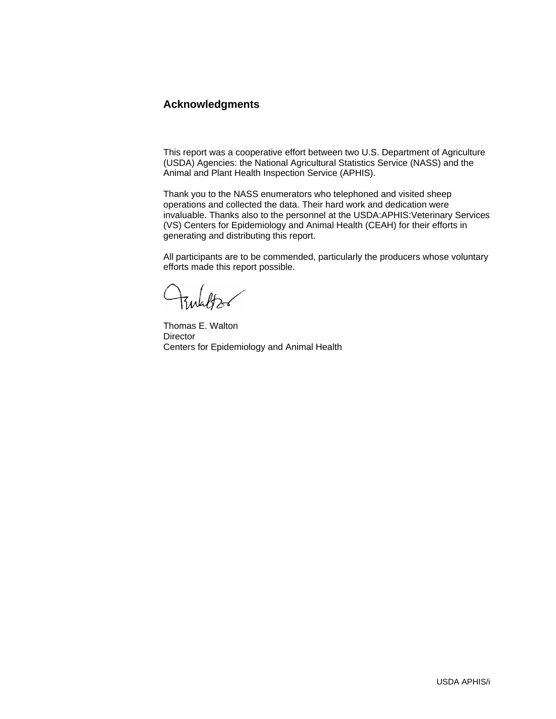# **Acknowledgments**

This report was a cooperative effort between two U.S. Department of Agriculture (USDA) Agencies: the National Agricultural Statistics Service (NASS) and the Animal and Plant Health Inspection Service (APHIS).

Thank you to the NASS enumerators who telephoned and visited sheep operations and collected the data. Their hard work and dedication were invaluable. Thanks also to the personnel at the USDA:APHIS:Veterinary Services (VS) Centers for Epidemiology and Animal Health (CEAH) for their efforts in generating and distributing this report.

All participants are to be commended, particularly the producers whose voluntary efforts made this report possible.

Thomas E. Walton **Director** Centers for Epidemiology and Animal Health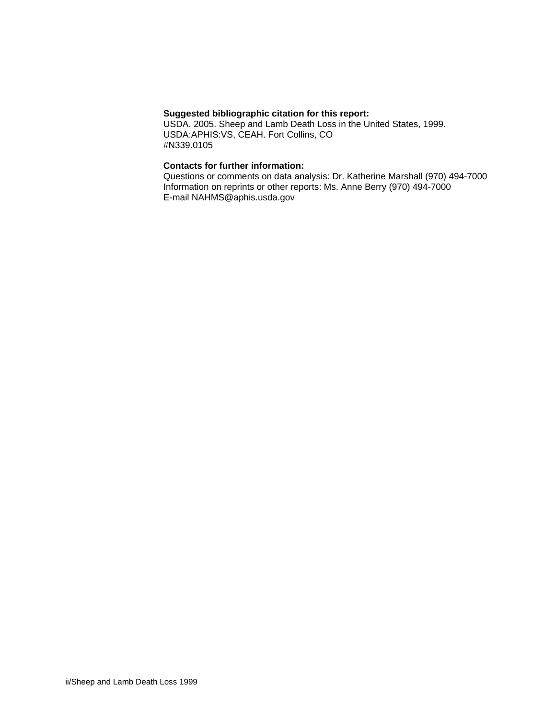#### **Suggested bibliographic citation for this report:**

USDA. 2005. Sheep and Lamb Death Loss in the United States, 1999. USDA:APHIS:VS, CEAH. Fort Collins, CO #N339.0105

#### **Contacts for further information:**

Questions or comments on data analysis: Dr. Katherine Marshall (970) 494-7000 Information on reprints or other reports: Ms. Anne Berry (970) 494-7000 E-mail NAHMS@aphis.usda.gov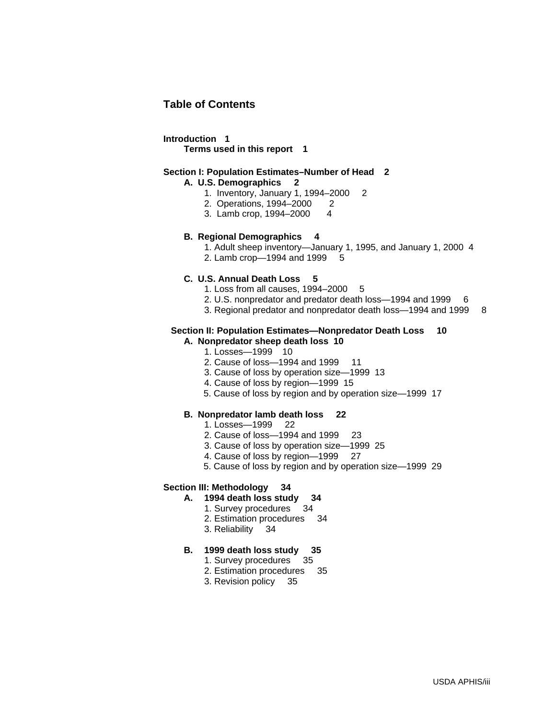# **Table of Contents**

#### **Introduction 1**

 **Terms used in this report 1** 

#### **Section I: Population Estimates–Number of Head 2**

#### **A. U.S. Demographics 2**

- 1. Inventory, January 1, 1994–2000 2
- 2. Operations, 1994–2000 2
- 3. Lamb crop, 1994–2000 4

#### **B. Regional Demographics 4**

- 1. Adult sheep inventory—January 1, 1995, and January 1, 2000 4
- 2. Lamb crop—1994 and 1999 5

#### **C. U.S. Annual Death Loss 5**

- 1. Loss from all causes, 1994–2000 5
- 2. U.S. nonpredator and predator death loss-1994 and 1999 6
- 3. Regional predator and nonpredator death loss—1994 and 1999 8

#### **Section II: Population Estimates—Nonpredator Death Loss 10**

- **A. Nonpredator sheep death loss 10** 
	- 1. Losses—1999 10
	- 2. Cause of loss-1994 and 1999 11
	- 3. Cause of loss by operation size—1999 13
	- 4. Cause of loss by region—1999 15
	- 5. Cause of loss by region and by operation size—1999 17

#### **B. Nonpredator lamb death loss 22**

- 1. Losses—1999 22
- 2. Cause of loss—1994 and 1999 23
- 3. Cause of loss by operation size—1999 25
- 4. Cause of loss by region—1999 27
- 5. Cause of loss by region and by operation size—1999 29

#### **Section III: Methodology 34**

- **A. 1994 death loss study 34** 
	- **1. Survey procedures**
	- 2. Estimation procedures 34
	- 3. Reliability 34

#### **B. 1999 death loss study 35**

- 1. Survey procedures 35
- 2. Estimation procedures 35
- 3. Revision policy 35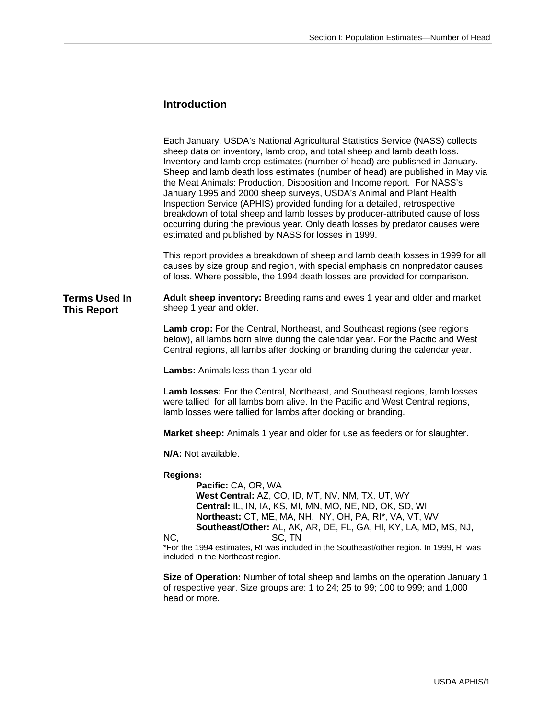# **Introduction**

| This report provides a breakdown of sheep and lamb death losses in 1999 for all<br>causes by size group and region, with special emphasis on nonpredator causes<br>Adult sheep inventory: Breeding rams and ewes 1 year and older and market |
|----------------------------------------------------------------------------------------------------------------------------------------------------------------------------------------------------------------------------------------------|
|                                                                                                                                                                                                                                              |
|                                                                                                                                                                                                                                              |
| below), all lambs born alive during the calendar year. For the Pacific and West                                                                                                                                                              |
|                                                                                                                                                                                                                                              |
| Lamb losses: For the Central, Northeast, and Southeast regions, lamb losses                                                                                                                                                                  |
|                                                                                                                                                                                                                                              |
|                                                                                                                                                                                                                                              |
| *For the 1994 estimates, RI was included in the Southeast/other region. In 1999, RI was<br>Size of Operation: Number of total sheep and lambs on the operation January 1                                                                     |
|                                                                                                                                                                                                                                              |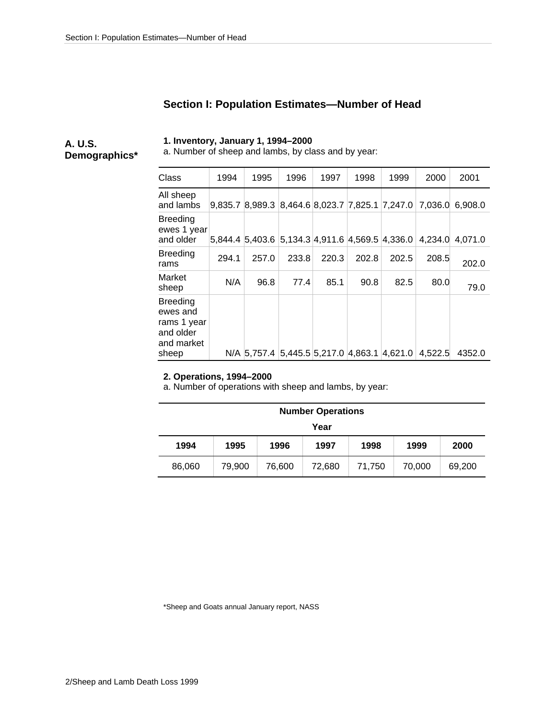# **Section I: Population Estimates—Number of Head**

**A. U.S. Demographics\***  **1. Inventory, January 1, 1994–2000** 

a. Number of sheep and lambs, by class and by year:

| Class                                                                          | 1994  | 1995        | 1996  | 1997  | 1998  | 1999                                            | 2000    | 2001    |
|--------------------------------------------------------------------------------|-------|-------------|-------|-------|-------|-------------------------------------------------|---------|---------|
| All sheep<br>and lambs                                                         |       |             |       |       |       | 9,835.7 8,989.3 8,464.6 8,023.7 7,825.1 7,247.0 | 7.036.0 | 6.908.0 |
| <b>Breeding</b><br>ewes 1 year<br>and older                                    |       |             |       |       |       | 5,844.4 5,403.6 5,134.3 4,911.6 4,569.5 4,336.0 | 4.234.0 | 4.071.0 |
| <b>Breeding</b><br>rams                                                        | 294.1 | 257.0       | 233.8 | 220.3 | 202.8 | 202.5                                           | 208.5   | 202.0   |
| Market<br>sheep                                                                | N/A   | 96.8        | 77.4  | 85.1  | 90.8  | 82.5                                            | 80.0    | 79.0    |
| <b>Breeding</b><br>ewes and<br>rams 1 year<br>and older<br>and market<br>sheep |       | N/A 5.757.4 |       |       |       | $5,445.5$ 5,217.0 $ 4,863.1 4,621.0$            | 4.522.5 | 4352.0  |

#### **2. Operations, 1994–2000**

a. Number of operations with sheep and lambs, by year:

|                                                                    | <b>Number Operations</b> |  |  |  |  |  |  |  |
|--------------------------------------------------------------------|--------------------------|--|--|--|--|--|--|--|
|                                                                    | Year                     |  |  |  |  |  |  |  |
| 1994<br>1996<br>1998<br>1995<br>1997<br>1999<br>2000               |                          |  |  |  |  |  |  |  |
| 79.900<br>76,600<br>70,000<br>69,200<br>86,060<br>72.680<br>71.750 |                          |  |  |  |  |  |  |  |

\*Sheep and Goats annual January report, NASS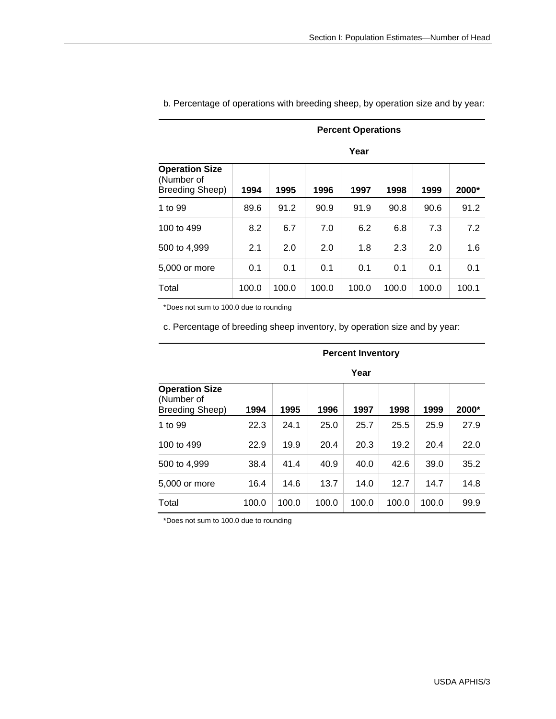|                                                        |       | <b>Percent Operations</b> |       |       |       |       |       |  |
|--------------------------------------------------------|-------|---------------------------|-------|-------|-------|-------|-------|--|
|                                                        |       |                           |       | Year  |       |       |       |  |
| <b>Operation Size</b><br>(Number of<br>Breeding Sheep) | 1994  | 1995                      | 1996  | 1997  | 1998  | 1999  | 2000* |  |
| 1 to 99                                                | 89.6  | 91.2                      | 90.9  | 91.9  | 90.8  | 90.6  | 91.2  |  |
| 100 to 499                                             | 8.2   | 6.7                       | 7.0   | 6.2   | 6.8   | 7.3   | 7.2   |  |
| 500 to 4,999                                           | 2.1   | 2.0                       | 2.0   | 1.8   | 2.3   | 2.0   | 1.6   |  |
| 5,000 or more                                          | 0.1   | 0.1                       | 0.1   | 0.1   | 0.1   | 0.1   | 0.1   |  |
| Total                                                  | 100.0 | 100.0                     | 100.0 | 100.0 | 100.0 | 100.0 | 100.1 |  |

b. Percentage of operations with breeding sheep, by operation size and by year:

\*Does not sum to 100.0 due to rounding

c. Percentage of breeding sheep inventory, by operation size and by year:

| Year                                                   |       |       |       |       |       |       |       |
|--------------------------------------------------------|-------|-------|-------|-------|-------|-------|-------|
| <b>Operation Size</b><br>(Number of<br>Breeding Sheep) | 1994  | 1995  | 1996  | 1997  | 1998  | 1999  | 2000* |
| 1 to 99                                                | 22.3  | 24.1  | 25.0  | 25.7  | 25.5  | 25.9  | 27.9  |
| 100 to 499                                             | 22.9  | 19.9  | 20.4  | 20.3  | 19.2  | 20.4  | 22.0  |
| 500 to 4,999                                           | 38.4  | 41.4  | 40.9  | 40.0  | 42.6  | 39.0  | 35.2  |
| 5,000 or more                                          | 16.4  | 14.6  | 13.7  | 14.0  | 12.7  | 14.7  | 14.8  |
| Total                                                  | 100.0 | 100.0 | 100.0 | 100.0 | 100.0 | 100.0 | 99.9  |

# **Percent Inventory**

\*Does not sum to 100.0 due to rounding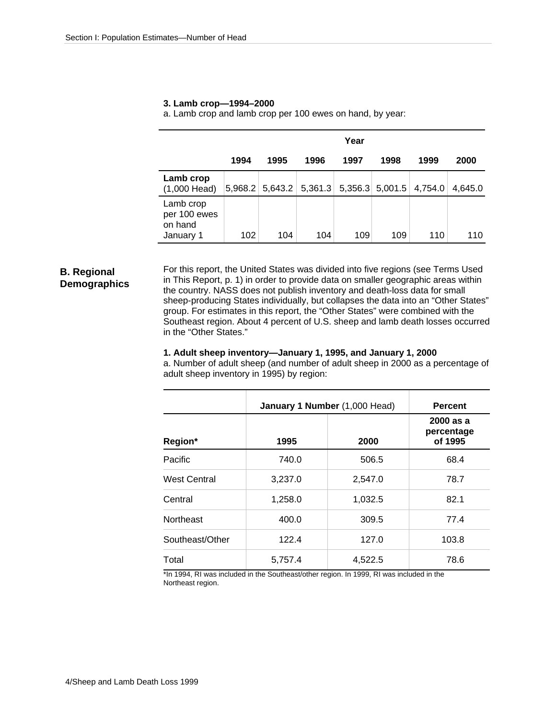|                                                   | Year    |         |         |      |                   |         |         |
|---------------------------------------------------|---------|---------|---------|------|-------------------|---------|---------|
|                                                   | 1994    | 1995    | 1996    | 1997 | 1998              | 1999    | 2000    |
| Lamb crop<br>$(1,000$ Head)                       | 5,968.2 | 5,643.2 | 5,361.3 |      | $5,356.3$ 5,001.5 | 4,754.0 | 4.645.0 |
| Lamb crop<br>per 100 ewes<br>on hand<br>January 1 | 102     | 104     | 104     | 109  | 109               | 110     | 110     |

#### **3. Lamb crop—1994–2000**

a. Lamb crop and lamb crop per 100 ewes on hand, by year:

#### **B. Regional Demographics**

For this report, the United States was divided into five regions (see Terms Used in This Report, p. 1) in order to provide data on smaller geographic areas within the country. NASS does not publish inventory and death-loss data for small sheep-producing States individually, but collapses the data into an "Other States" group. For estimates in this report, the "Other States" were combined with the Southeast region. About 4 percent of U.S. sheep and lamb death losses occurred in the "Other States."

#### **1. Adult sheep inventory—January 1, 1995, and January 1, 2000**

a. Number of adult sheep (and number of adult sheep in 2000 as a percentage of adult sheep inventory in 1995) by region:

|                     |         | January 1 Number (1,000 Head) | <b>Percent</b>                     |  |  |
|---------------------|---------|-------------------------------|------------------------------------|--|--|
| Region*             | 1995    | 2000                          | 2000 as a<br>percentage<br>of 1995 |  |  |
| Pacific             | 740.0   | 506.5                         | 68.4                               |  |  |
| <b>West Central</b> | 3,237.0 | 2,547.0                       | 78.7                               |  |  |
| Central             | 1,258.0 | 1,032.5                       | 82.1                               |  |  |
| <b>Northeast</b>    | 400.0   | 309.5                         | 77.4                               |  |  |
| Southeast/Other     | 122.4   | 127.0                         | 103.8                              |  |  |
| Total               | 5,757.4 | 4,522.5                       | 78.6                               |  |  |

\*In 1994, RI was included in the Southeast/other region. In 1999, RI was included in the Northeast region.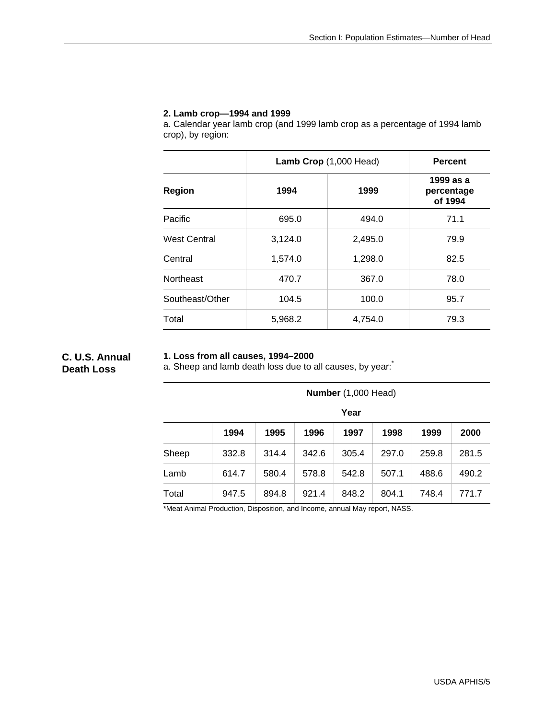#### **2. Lamb crop—1994 and 1999**

a. Calendar year lamb crop (and 1999 lamb crop as a percentage of 1994 lamb crop), by region:

|                     | Lamb Crop (1,000 Head) | <b>Percent</b> |                                    |  |
|---------------------|------------------------|----------------|------------------------------------|--|
| Region              | 1994                   | 1999           | 1999 as a<br>percentage<br>of 1994 |  |
| Pacific             | 695.0                  | 494.0          | 71.1                               |  |
| <b>West Central</b> | 3,124.0                | 2,495.0        | 79.9                               |  |
| Central             | 1,574.0                | 1,298.0        | 82.5                               |  |
| <b>Northeast</b>    | 470.7                  | 367.0          | 78.0                               |  |
| Southeast/Other     | 104.5                  | 100.0          | 95.7                               |  |
| Total               | 5,968.2                | 4,754.0        | 79.3                               |  |

#### **C. U.S. Annual Death Loss**

#### **1. Loss from all causes, 1994–2000**

a. Sheep and lamb death loss due to all causes, by year:

|       |       | Number (1,000 Head) |       |       |       |       |       |  |  |
|-------|-------|---------------------|-------|-------|-------|-------|-------|--|--|
|       |       | Year                |       |       |       |       |       |  |  |
|       | 1994  | 1995                | 1996  | 1997  | 1998  | 1999  | 2000  |  |  |
| Sheep | 332.8 | 314.4               | 342.6 | 305.4 | 297.0 | 259.8 | 281.5 |  |  |
| Lamb  | 614.7 | 580.4               | 578.8 | 542.8 | 507.1 | 488.6 | 490.2 |  |  |
| Total | 947.5 | 894.8               | 921.4 | 848.2 | 804.1 | 748.4 | 771.7 |  |  |

\*Meat Animal Production, Disposition, and Income, annual May report, NASS.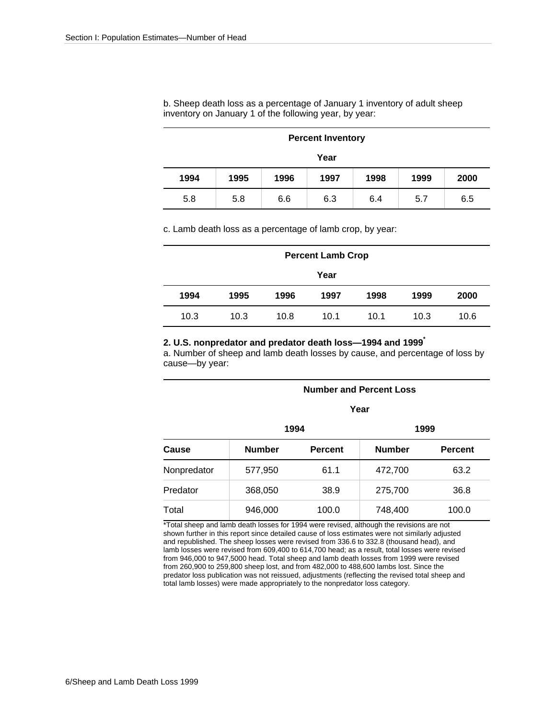b. Sheep death loss as a percentage of January 1 inventory of adult sheep inventory on January 1 of the following year, by year:

|      | <b>Percent Inventory</b>                     |  |  |  |  |  |  |  |
|------|----------------------------------------------|--|--|--|--|--|--|--|
|      | Year                                         |  |  |  |  |  |  |  |
| 1994 | 1998<br>1999<br>1995<br>1997<br>1996<br>2000 |  |  |  |  |  |  |  |
| 5.8  | 6.3<br>6.5<br>5.8<br>6.6<br>6.4<br>5.7       |  |  |  |  |  |  |  |

c. Lamb death loss as a percentage of lamb crop, by year:

|      | <b>Percent Lamb Crop</b> |      |      |      |      |      |  |
|------|--------------------------|------|------|------|------|------|--|
|      | Year                     |      |      |      |      |      |  |
| 1994 | 1995                     | 1996 | 1997 | 1998 | 1999 | 2000 |  |
| 10.3 | 10.3                     | 10.8 | 10.1 | 10.1 | 10.3 | 10.6 |  |

#### **2. U.S. nonpredator and predator death loss—1994 and 1999\***

a. Number of sheep and lamb death losses by cause, and percentage of loss by cause—by year:

|             |               | <b>Number and Percent Loss</b> |               |                |  |  |  |  |  |
|-------------|---------------|--------------------------------|---------------|----------------|--|--|--|--|--|
|             |               |                                | Year          |                |  |  |  |  |  |
|             |               | 1994                           |               | 1999           |  |  |  |  |  |
| Cause       | <b>Number</b> | <b>Percent</b>                 | <b>Number</b> | <b>Percent</b> |  |  |  |  |  |
| Nonpredator | 577,950       | 61.1                           | 472,700       | 63.2           |  |  |  |  |  |
| Predator    | 368,050       | 38.9                           | 275,700       | 36.8           |  |  |  |  |  |
| Total       | 946,000       | 100.0                          | 748,400       | 100.0          |  |  |  |  |  |

\*Total sheep and lamb death losses for 1994 were revised, although the revisions are not shown further in this report since detailed cause of loss estimates were not similarly adjusted and republished. The sheep losses were revised from 336.6 to 332.8 (thousand head), and lamb losses were revised from 609,400 to 614,700 head; as a result, total losses were revised from 946,000 to 947,5000 head. Total sheep and lamb death losses from 1999 were revised from 260,900 to 259,800 sheep lost, and from 482,000 to 488,600 lambs lost. Since the predator loss publication was not reissued, adjustments (reflecting the revised total sheep and total lamb losses) were made appropriately to the nonpredator loss category.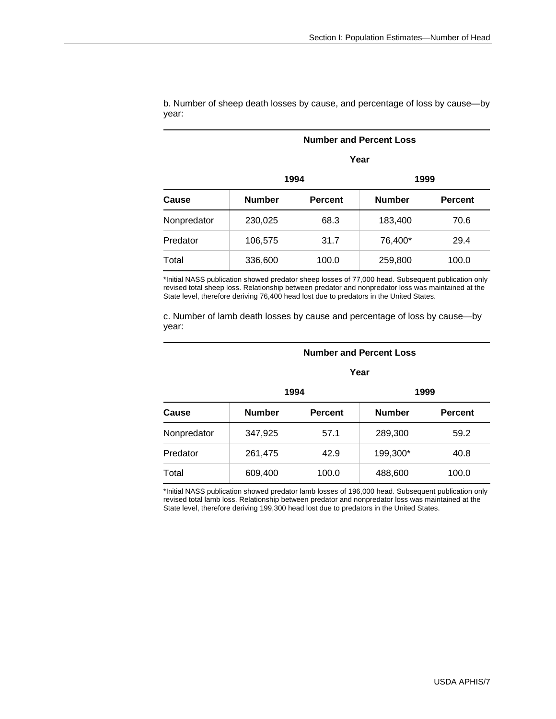|             | Year          |                |               |                |  |  |  |  |  |
|-------------|---------------|----------------|---------------|----------------|--|--|--|--|--|
|             |               | 1994           | 1999          |                |  |  |  |  |  |
| Cause       | <b>Number</b> | <b>Percent</b> | <b>Number</b> | <b>Percent</b> |  |  |  |  |  |
| Nonpredator | 230,025       | 68.3           | 183,400       | 70.6           |  |  |  |  |  |
| Predator    | 106,575       | 31.7           | 76,400*       | 29.4           |  |  |  |  |  |
| Total       | 336,600       | 100.0          | 259,800       | 100.0          |  |  |  |  |  |

b. Number of sheep death losses by cause, and percentage of loss by cause—by year:

 **Number and Percent Loss** 

\*Initial NASS publication showed predator sheep losses of 77,000 head. Subsequent publication only revised total sheep loss. Relationship between predator and nonpredator loss was maintained at the State level, therefore deriving 76,400 head lost due to predators in the United States.

c. Number of lamb death losses by cause and percentage of loss by cause—by year:

#### **Number and Percent Loss**

#### **Year**

|             | 1994          |                | 1999          |                |  |  |  |
|-------------|---------------|----------------|---------------|----------------|--|--|--|
| Cause       | <b>Number</b> | <b>Percent</b> | <b>Number</b> | <b>Percent</b> |  |  |  |
| Nonpredator | 347,925       | 57.1           | 289,300       | 59.2           |  |  |  |
| Predator    | 261,475       | 42.9           | 199,300*      | 40.8           |  |  |  |
| Total       | 609,400       | 100.0          | 488,600       | 100.0          |  |  |  |

\*Initial NASS publication showed predator lamb losses of 196,000 head. Subsequent publication only revised total lamb loss. Relationship between predator and nonpredator loss was maintained at the State level, therefore deriving 199,300 head lost due to predators in the United States.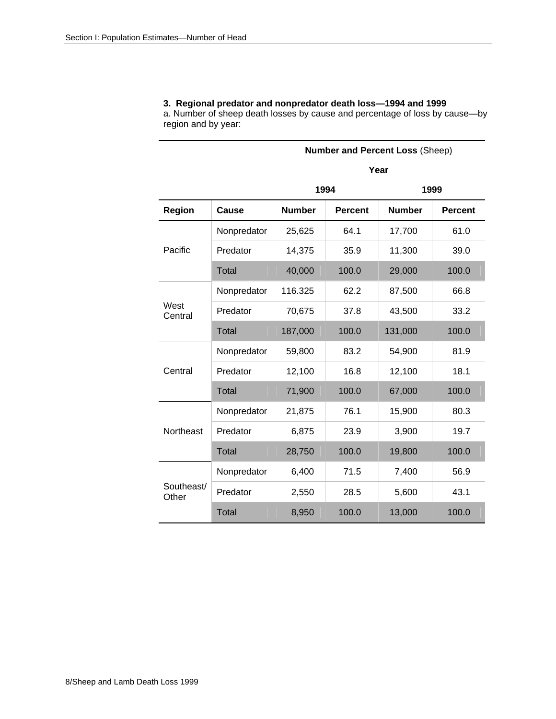# **3. Regional predator and nonpredator death loss—1994 and 1999**

a. Number of sheep death losses by cause and percentage of loss by cause—by region and by year:

|                     |              |               |                | <b>Number and Percent Loss (Sheep)</b> |                |  |  |  |  |  |  |  |
|---------------------|--------------|---------------|----------------|----------------------------------------|----------------|--|--|--|--|--|--|--|
|                     |              |               |                | Year                                   |                |  |  |  |  |  |  |  |
|                     |              | 1994<br>1999  |                |                                        |                |  |  |  |  |  |  |  |
| <b>Region</b>       | Cause        | <b>Number</b> | <b>Percent</b> | <b>Number</b>                          | <b>Percent</b> |  |  |  |  |  |  |  |
|                     | Nonpredator  | 25,625        | 64.1           | 17,700                                 | 61.0           |  |  |  |  |  |  |  |
| Pacific             | Predator     | 14,375        | 35.9           | 11,300                                 | 39.0           |  |  |  |  |  |  |  |
|                     | <b>Total</b> | 40,000        | 100.0          | 29,000                                 | 100.0          |  |  |  |  |  |  |  |
|                     | Nonpredator  | 116.325       | 62.2           | 87,500                                 | 66.8           |  |  |  |  |  |  |  |
| West<br>Central     | Predator     | 70,675        | 37.8           | 43,500                                 | 33.2           |  |  |  |  |  |  |  |
|                     | <b>Total</b> | 187,000       | 100.0          | 131,000                                | 100.0          |  |  |  |  |  |  |  |
|                     | Nonpredator  | 59,800        | 83.2           | 54,900                                 | 81.9           |  |  |  |  |  |  |  |
| Central             | Predator     | 12,100        | 16.8           | 12,100                                 | 18.1           |  |  |  |  |  |  |  |
|                     | Total        | 71,900        | 100.0          | 67,000                                 | 100.0          |  |  |  |  |  |  |  |
|                     | Nonpredator  | 21,875        | 76.1           | 15,900                                 | 80.3           |  |  |  |  |  |  |  |
| Northeast           | Predator     | 6,875         | 23.9           | 3,900                                  | 19.7           |  |  |  |  |  |  |  |
|                     | <b>Total</b> | 28,750        | 100.0          | 19,800                                 | 100.0          |  |  |  |  |  |  |  |
|                     | Nonpredator  | 6,400         | 71.5           | 7,400                                  | 56.9           |  |  |  |  |  |  |  |
| Southeast/<br>Other | Predator     | 2,550         | 28.5           | 5,600                                  | 43.1           |  |  |  |  |  |  |  |
|                     | <b>Total</b> | 8,950         | 100.0          | 13,000                                 | 100.0          |  |  |  |  |  |  |  |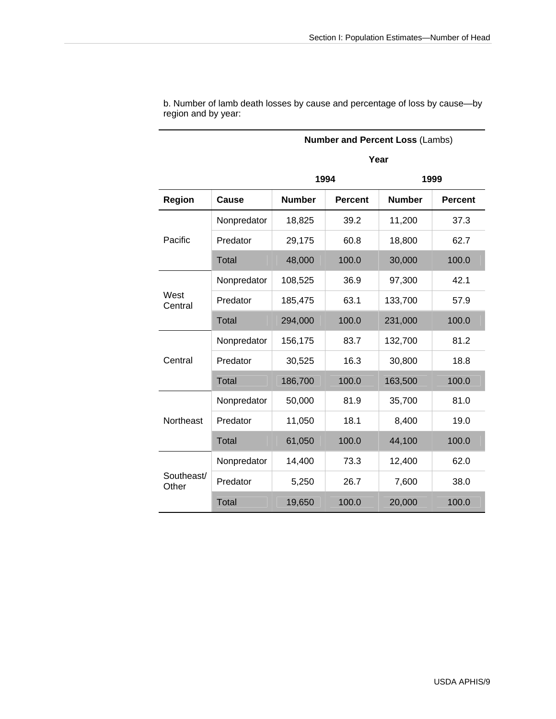|                     |             |                                                                  |       | <b>Number and Percent Loss (Lambs)</b> |                |  |  |  |  |  |  |
|---------------------|-------------|------------------------------------------------------------------|-------|----------------------------------------|----------------|--|--|--|--|--|--|
|                     |             |                                                                  |       | Year                                   |                |  |  |  |  |  |  |
|                     |             | 1994<br>1999<br><b>Number</b><br><b>Number</b><br><b>Percent</b> |       |                                        |                |  |  |  |  |  |  |
| <b>Region</b>       | Cause       |                                                                  |       |                                        | <b>Percent</b> |  |  |  |  |  |  |
|                     | Nonpredator | 18,825                                                           | 39.2  | 11,200                                 | 37.3           |  |  |  |  |  |  |
| Pacific             | Predator    | 29,175                                                           | 60.8  | 18,800                                 | 62.7           |  |  |  |  |  |  |
|                     | Total       | 48,000                                                           | 100.0 | 30,000                                 | 100.0          |  |  |  |  |  |  |
|                     | Nonpredator | 108,525                                                          | 36.9  | 97,300                                 | 42.1           |  |  |  |  |  |  |
| West<br>Central     | Predator    | 185,475                                                          | 63.1  | 133,700                                | 57.9           |  |  |  |  |  |  |
|                     | Total       | 294,000                                                          | 100.0 | 231,000                                | 100.0          |  |  |  |  |  |  |
|                     | Nonpredator | 156,175                                                          | 83.7  | 132,700                                | 81.2           |  |  |  |  |  |  |
| Central             | Predator    | 30,525                                                           | 16.3  | 30,800                                 | 18.8           |  |  |  |  |  |  |
|                     | Total       | 186,700                                                          | 100.0 | 163,500                                | 100.0          |  |  |  |  |  |  |
|                     | Nonpredator | 50,000                                                           | 81.9  | 35,700                                 | 81.0           |  |  |  |  |  |  |
| Northeast           | Predator    | 11,050                                                           | 18.1  | 8,400                                  | 19.0           |  |  |  |  |  |  |
|                     | Total       | 61,050                                                           | 100.0 | 44,100                                 | 100.0          |  |  |  |  |  |  |
|                     | Nonpredator | 14,400                                                           | 73.3  | 12,400                                 | 62.0           |  |  |  |  |  |  |
| Southeast/<br>Other | Predator    | 5,250                                                            | 26.7  | 7,600                                  | 38.0           |  |  |  |  |  |  |
|                     | Total       | 19,650                                                           | 100.0 | 20,000                                 | 100.0          |  |  |  |  |  |  |

b. Number of lamb death losses by cause and percentage of loss by cause—by region and by year: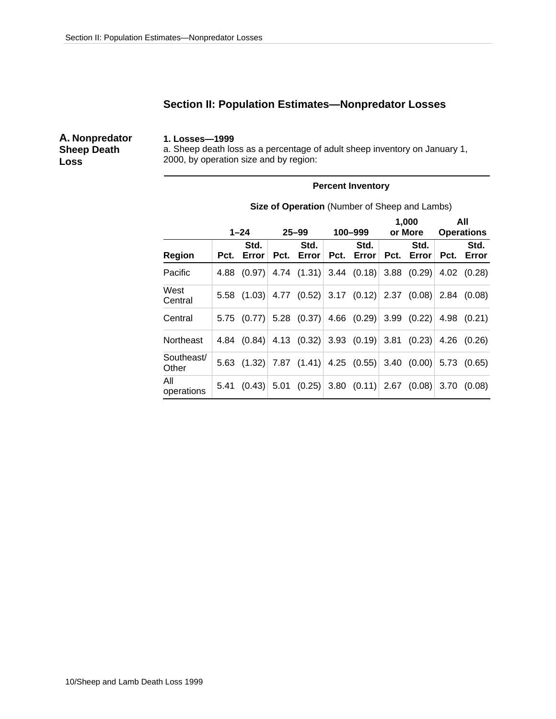# **Section II: Population Estimates—Nonpredator Losses**

**A. Nonpredator Sheep Death Loss**

#### **1. Losses—1999**

a. Sheep death loss as a percentage of adult sheep inventory on January 1, 2000, by operation size and by region:

#### **Percent Inventory**

|                     |      | $1 - 24$      | $25 - 99$                                                             |      | 100-999       | 1,000<br>or More   |      | All<br><b>Operations</b> |
|---------------------|------|---------------|-----------------------------------------------------------------------|------|---------------|--------------------|------|--------------------------|
| <b>Region</b>       | Pct. | Std.<br>Error | Std.<br>Pct. Error                                                    | Pct. | Std.<br>Error | Std.<br>Pct. Error | Pct. | Std.<br>Error            |
| Pacific             | 4.88 | (0.97)        | 4.74 $(1.31)$ 3.44 $(0.18)$ 3.88 $(0.29)$                             |      |               |                    |      | 4.02 (0.28)              |
| West<br>Central     |      |               | 5.58 $(1.03)$ 4.77 $(0.52)$ 3.17 $(0.12)$ 2.37 $(0.08)$ 2.84 $(0.08)$ |      |               |                    |      |                          |
| Central             |      |               | 5.75 $(0.77)$ 5.28 $(0.37)$ 4.66 $(0.29)$ 3.99 $(0.22)$ 4.98 $(0.21)$ |      |               |                    |      |                          |
| Northeast           |      |               | 4.84 $(0.84)$ 4.13 $(0.32)$ 3.93 $(0.19)$ 3.81 $(0.23)$               |      |               |                    |      | $4.26$ $(0.26)$          |
| Southeast/<br>Other |      |               | 5.63 $(1.32)$ 7.87 $(1.41)$ 4.25 $(0.55)$ 3.40 $(0.00)$ 5.73 $(0.65)$ |      |               |                    |      |                          |
| All<br>operations   | 5.41 |               | $(0.43)$ 5.01 $(0.25)$ 3.80 $(0.11)$ 2.67 $(0.08)$                    |      |               |                    |      | 3.70(0.08)               |

**Size of Operation** (Number of Sheep and Lambs)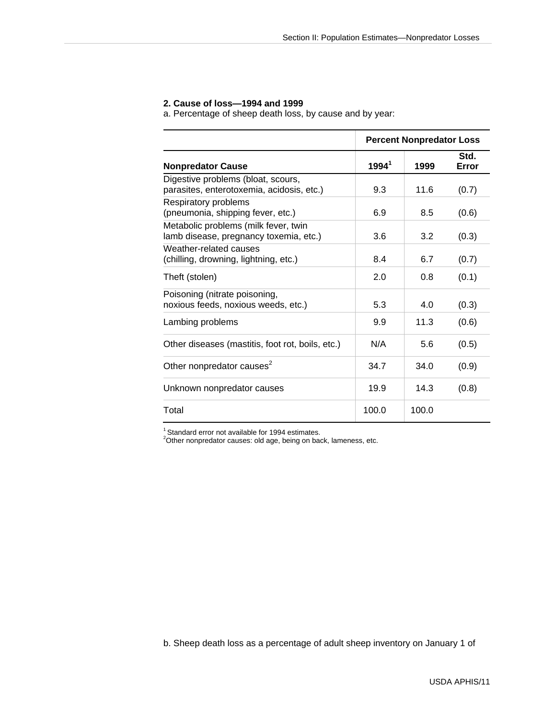#### **2. Cause of loss—1994 and 1999**

a. Percentage of sheep death loss, by cause and by year:

|                                                                                 |                   | <b>Percent Nonpredator Loss</b> |               |
|---------------------------------------------------------------------------------|-------------------|---------------------------------|---------------|
| <b>Nonpredator Cause</b>                                                        | 1994 <sup>1</sup> | 1999                            | Std.<br>Error |
| Digestive problems (bloat, scours,<br>parasites, enterotoxemia, acidosis, etc.) | 9.3               | 11.6                            | (0.7)         |
| Respiratory problems<br>(pneumonia, shipping fever, etc.)                       | 6.9               | 8.5                             | (0.6)         |
| Metabolic problems (milk fever, twin<br>lamb disease, pregnancy toxemia, etc.)  | 3.6               | 3.2                             | (0.3)         |
| Weather-related causes<br>(chilling, drowning, lightning, etc.)                 | 8.4               | 6.7                             | (0.7)         |
| Theft (stolen)                                                                  | 2.0               | 0.8                             | (0.1)         |
| Poisoning (nitrate poisoning,<br>noxious feeds, noxious weeds, etc.)            | 5.3               | 4.0                             | (0.3)         |
| Lambing problems                                                                | 9.9               | 11.3                            | (0.6)         |
| Other diseases (mastitis, foot rot, boils, etc.)                                | N/A               | 5.6                             | (0.5)         |
| Other nonpredator causes <sup>2</sup>                                           | 34.7              | 34.0                            | (0.9)         |
| Unknown nonpredator causes                                                      | 19.9              | 14.3                            | (0.8)         |
| Total                                                                           | 100.0             | 100.0                           |               |

<sup>1</sup> Standard error not available for 1994 estimates.<br><sup>2</sup>Other nonpredator causes: old age, being on back, lameness, etc.

b. Sheep death loss as a percentage of adult sheep inventory on January 1 of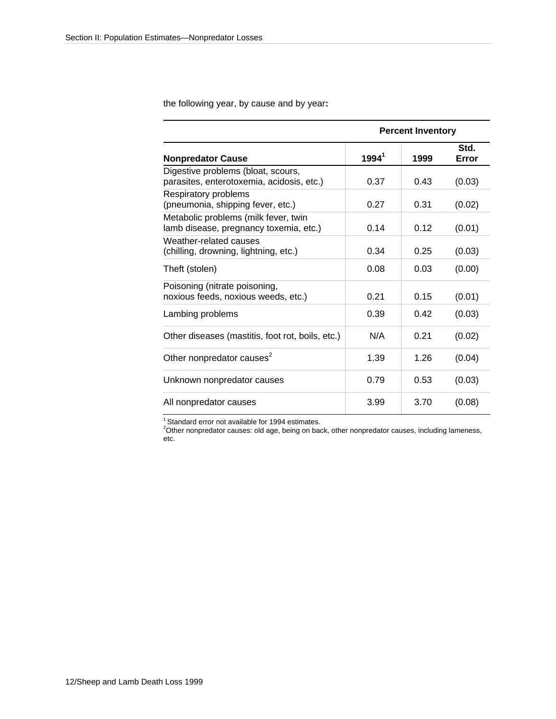the following year, by cause and by year**:** 

|                                                                                 |          | <b>Percent Inventory</b> |               |
|---------------------------------------------------------------------------------|----------|--------------------------|---------------|
| <b>Nonpredator Cause</b>                                                        | $1994^1$ | 1999                     | Std.<br>Error |
| Digestive problems (bloat, scours,<br>parasites, enterotoxemia, acidosis, etc.) | 0.37     | 0.43                     | (0.03)        |
| Respiratory problems<br>(pneumonia, shipping fever, etc.)                       | 0.27     | 0.31                     | (0.02)        |
| Metabolic problems (milk fever, twin<br>lamb disease, pregnancy toxemia, etc.)  | 0.14     | 0.12                     | (0.01)        |
| Weather-related causes<br>(chilling, drowning, lightning, etc.)                 | 0.34     | 0.25                     | (0.03)        |
| Theft (stolen)                                                                  | 0.08     | 0.03                     | (0.00)        |
| Poisoning (nitrate poisoning,<br>noxious feeds, noxious weeds, etc.)            | 0.21     | 0.15                     | (0.01)        |
| Lambing problems                                                                | 0.39     | 0.42                     | (0.03)        |
| Other diseases (mastitis, foot rot, boils, etc.)                                | N/A      | 0.21                     | (0.02)        |
| Other nonpredator causes <sup>2</sup>                                           | 1.39     | 1.26                     | (0.04)        |
| Unknown nonpredator causes                                                      | 0.79     | 0.53                     | (0.03)        |
| All nonpredator causes                                                          | 3.99     | 3.70                     | (0.08)        |

<sup>1</sup> Standard error not available for 1994 estimates.<br><sup>2</sup>Other nonpredator causes: old age, being on back, other nonpredator causes, including lameness, etc.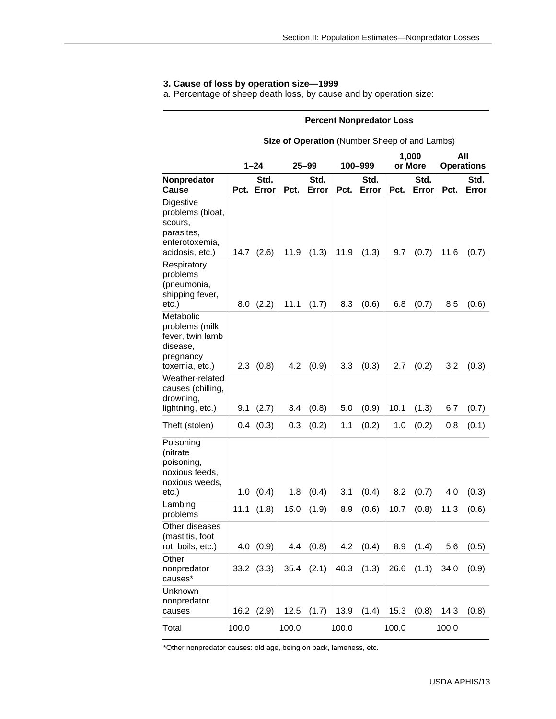# **3. Cause of loss by operation size—1999**

a. Percentage of sheep death loss, by cause and by operation size:

#### **Percent Nonpredator Loss**

#### **Size of Operation** (Number Sheep of and Lambs)

|                                                                                             | $1 - 24$ |                    | $25 - 99$ |                | 100–999 |               | 1,000<br>or More |                | All<br><b>Operations</b> |               |
|---------------------------------------------------------------------------------------------|----------|--------------------|-----------|----------------|---------|---------------|------------------|----------------|--------------------------|---------------|
| Nonpredator<br>Cause                                                                        |          | Std.<br>Pct. Error | Pct.      | Std.<br>Error  | Pct.    | Std.<br>Error | Pct.             | Std.<br>Error  | Pct.                     | Std.<br>Error |
| Digestive<br>problems (bloat,<br>scours,<br>parasites,<br>enterotoxemia,<br>acidosis, etc.) | 14.7     | (2.6)              | 11.9      | (1.3)          | 11.9    | (1.3)         | 9.7              | (0.7)          | 11.6                     | (0.7)         |
| Respiratory<br>problems<br>(pneumonia,<br>shipping fever,<br>etc.)                          | 8.0      | (2.2)              | 11.1      | (1.7)          | 8.3     | (0.6)         | 6.8              | (0.7)          | 8.5                      | (0.6)         |
| Metabolic<br>problems (milk<br>fever, twin lamb<br>disease,<br>pregnancy<br>toxemia, etc.)  |          | $2.3$ $(0.8)$      | 4.2       | (0.9)          | 3.3     | (0.3)         | 2.7              | (0.2)          | 3.2                      | (0.3)         |
| Weather-related<br>causes (chilling,<br>drowning,<br>lightning, etc.)                       | 9.1      | (2.7)              | 3.4       | (0.8)          | 5.0     | (0.9)         | 10.1             | (1.3)          | 6.7                      | (0.7)         |
| Theft (stolen)                                                                              |          | $0.4$ $(0.3)$      | 0.3       | (0.2)          | 1.1     | (0.2)         | 1.0              | (0.2)          | 0.8                      | (0.1)         |
| Poisoning<br>(nitrate<br>poisoning,<br>noxious feeds,<br>noxious weeds,<br>etc.)            | 1.0      | (0.4)              | 1.8       | (0.4)          | 3.1     | (0.4)         | 8.2              | (0.7)          | 4.0                      | (0.3)         |
| Lambing<br>problems                                                                         | 11.1     | (1.8)              | 15.0      | (1.9)          | 8.9     | (0.6)         | 10.7             | (0.8)          | 11.3                     | (0.6)         |
| Other diseases<br>(mastitis, foot<br>rot, boils, etc.)                                      | 4.0      | (0.9)              | 4.4       | (0.8)          | 4.2     | (0.4)         | 8.9              | (1.4)          | 5.6                      | (0.5)         |
| Other<br>nonpredator<br>causes*                                                             |          | $33.2$ $(3.3)$     |           | $35.4$ $(2.1)$ |         | 40.3 $(1.3)$  |                  | $26.6$ $(1.1)$ | 34.0                     | (0.9)         |
| Unknown<br>nonpredator<br>causes                                                            |          | $16.2$ $(2.9)$     | 12.5      | (1.7)          | 13.9    | (1.4)         | 15.3             | (0.8)          | 14.3                     | (0.8)         |
| Total                                                                                       | 100.0    |                    | 100.0     |                | 100.0   |               | 100.0            |                | 100.0                    |               |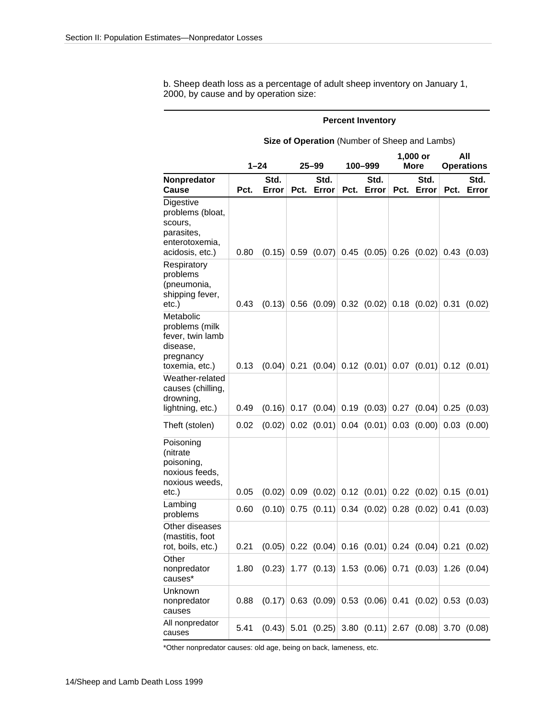b. Sheep death loss as a percentage of adult sheep inventory on January 1, 2000, by cause and by operation size:

#### **Percent Inventory**

#### **Size of Operation** (Number of Sheep and Lambs)

|                                                                                             |      | $1 - 24$<br>25–99                                                |      |                                                                  |      | 100–999       |      | 1,000 or<br>More | All<br><b>Operations</b> |                                                                  |  |
|---------------------------------------------------------------------------------------------|------|------------------------------------------------------------------|------|------------------------------------------------------------------|------|---------------|------|------------------|--------------------------|------------------------------------------------------------------|--|
| Nonpredator<br>Cause                                                                        | Pct. | Std.<br>Error                                                    |      | Std.<br>Pct. Error                                               | Pct. | Std.<br>Error | Pct. | Std.<br>Error    | Pct.                     | Std.<br>Error                                                    |  |
| Digestive<br>problems (bloat,<br>scours,<br>parasites,<br>enterotoxemia,<br>acidosis, etc.) | 0.80 |                                                                  |      |                                                                  |      |               |      |                  |                          | $(0.15)$ 0.59 $(0.07)$ 0.45 $(0.05)$ 0.26 $(0.02)$ 0.43 $(0.03)$ |  |
| Respiratory<br>problems<br>(pneumonia,<br>shipping fever,<br>etc.)                          | 0.43 | (0.13)                                                           |      | $0.56$ (0.09) 0.32 (0.02) 0.18 (0.02) 0.31 (0.02)                |      |               |      |                  |                          |                                                                  |  |
| Metabolic<br>problems (milk<br>fever, twin lamb<br>disease,<br>pregnancy<br>toxemia, etc.)  | 0.13 | (0.04)                                                           |      | $0.21$ (0.04) 0.12 (0.01) 0.07 (0.01) 0.12 (0.01)                |      |               |      |                  |                          |                                                                  |  |
| Weather-related<br>causes (chilling,<br>drowning,<br>lightning, etc.)                       | 0.49 | (0.16)                                                           | 0.17 | $(0.04)$ 0.19 $(0.03)$ 0.27 $(0.04)$                             |      |               |      |                  |                          | 0.25(0.03)                                                       |  |
| Theft (stolen)                                                                              | 0.02 | (0.02)                                                           |      | $0.02$ (0.01) 0.04 (0.01) 0.03 (0.00)                            |      |               |      |                  |                          | $0.03$ $(0.00)$                                                  |  |
| Poisoning<br>(nitrate<br>poisoning,<br>noxious feeds,<br>noxious weeds,<br>etc.)            | 0.05 | (0.02)                                                           |      |                                                                  |      |               |      |                  |                          |                                                                  |  |
| Lambing<br>problems                                                                         | 0.60 | (0.10)                                                           |      | $0.75$ (0.11) 0.34 (0.02) 0.28 (0.02)                            |      |               |      |                  |                          | 0.41(0.03)                                                       |  |
| Other diseases<br>(mastitis, foot<br>rot, boils, etc.)                                      | 0.21 |                                                                  |      | $(0.05)$ 0.22 $(0.04)$ 0.16 $(0.01)$ 0.24 $(0.04)$ 0.21 $(0.02)$ |      |               |      |                  |                          |                                                                  |  |
| Other<br>nonpredator<br>causes*                                                             | 1.80 | $(0.23)$ 1.77 $(0.13)$ 1.53 $(0.06)$ 0.71 $(0.03)$ 1.26 $(0.04)$ |      |                                                                  |      |               |      |                  |                          |                                                                  |  |
| Unknown<br>nonpredator<br>causes                                                            | 0.88 |                                                                  |      |                                                                  |      |               |      |                  |                          | $(0.17)$ 0.63 $(0.09)$ 0.53 $(0.06)$ 0.41 $(0.02)$ 0.53 $(0.03)$ |  |
| All nonpredator<br>causes                                                                   | 5.41 |                                                                  |      |                                                                  |      |               |      |                  |                          | $(0.43)$ 5.01 $(0.25)$ 3.80 $(0.11)$ 2.67 $(0.08)$ 3.70 $(0.08)$ |  |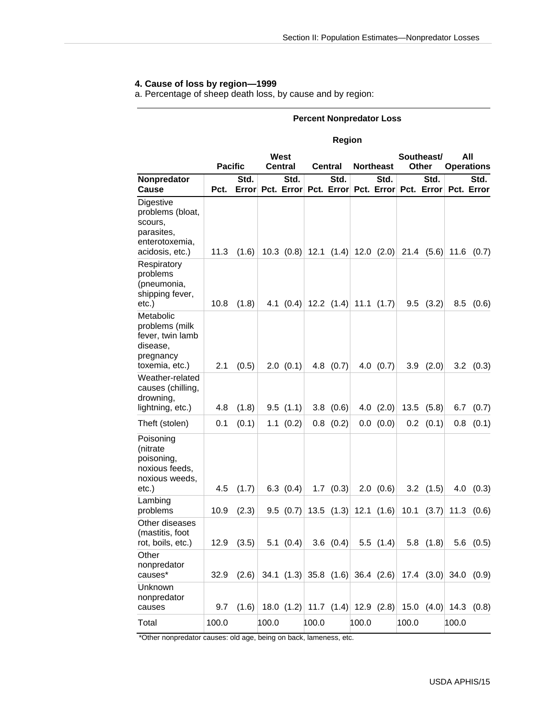# **4. Cause of loss by region—1999**

a. Percentage of sheep death loss, by cause and by region:

#### **Percent Nonpredator Loss**

#### **Region**

|                                                                                             |                |               | West  |                                        |       |                |       |                  | Southeast/ |               | All   |                                                                          |
|---------------------------------------------------------------------------------------------|----------------|---------------|-------|----------------------------------------|-------|----------------|-------|------------------|------------|---------------|-------|--------------------------------------------------------------------------|
|                                                                                             | <b>Pacific</b> |               |       | <b>Central</b>                         |       | <b>Central</b> |       | <b>Northeast</b> |            | <b>Other</b>  |       | <b>Operations</b>                                                        |
| Nonpredator<br><b>Cause</b>                                                                 | Pct.           | Std.<br>Error |       | Std.<br>Pct. Error                     |       | Std.           |       | Std.             |            | Std.          |       | Std.<br>Pct. Error Pct. Error Pct. Error Pct. Error                      |
|                                                                                             |                |               |       |                                        |       |                |       |                  |            |               |       |                                                                          |
| Digestive<br>problems (bloat,<br>scours,<br>parasites,<br>enterotoxemia,<br>acidosis, etc.) | 11.3           | (1.6)         |       | 10.3 $(0.8)$ 12.1 $(1.4)$ 12.0 $(2.0)$ |       |                |       |                  |            | $21.4$ (5.6)  | 11.6  | (0.7)                                                                    |
| Respiratory<br>problems<br>(pneumonia,<br>shipping fever,<br>etc.)                          | 10.8           | (1.8)         |       | 4.1 $(0.4)$ 12.2 $(1.4)$ 11.1 $(1.7)$  |       |                |       |                  |            | $9.5$ $(3.2)$ | 8.5   | (0.6)                                                                    |
| Metabolic<br>problems (milk<br>fever, twin lamb<br>disease,<br>pregnancy<br>toxemia, etc.)  | 2.1            | (0.5)         |       | 2.0(0.1)                               |       | $4.8$ $(0.7)$  |       | 4.0 $(0.7)$      | 3.9        | (2.0)         | 3.2   | (0.3)                                                                    |
| Weather-related<br>causes (chilling,<br>drowning,<br>lightning, etc.)                       | 4.8            | (1.8)         |       | 9.5(1.1)                               |       | 3.8(0.6)       |       | 4.0 $(2.0)$      | 13.5       | (5.8)         | 6.7   | (0.7)                                                                    |
| Theft (stolen)                                                                              | 0.1            | (0.1)         |       | $1.1$ $(0.2)$                          |       | $0.8$ $(0.2)$  |       | 0.0 (0.0)        | 0.2        | (0.1)         | 0.8   | (0.1)                                                                    |
| Poisoning<br>(nitrate<br>poisoning,<br>noxious feeds,<br>noxious weeds,<br>etc.)            | 4.5            | (1.7)         |       | 6.3(0.4)                               |       | $1.7$ $(0.3)$  |       | $2.0$ (0.6)      |            | 3.2 $(1.5)$   | 4.0   | (0.3)                                                                    |
| Lambing<br>problems                                                                         | 10.9           | (2.3)         |       | 9.5(0.7)                               |       | $13.5$ $(1.3)$ |       | 12.1(1.6)        | 10.1       | (3.7)         | 11.3  | (0.6)                                                                    |
| Other diseases<br>(mastitis, foot<br>rot, boils, etc.)                                      | 12.9           | (3.5)         |       | 5.1(0.4)                               |       | $3.6$ $(0.4)$  |       | $5.5$ $(1.4)$    | 5.8        | (1.8)         | 5.6   | (0.5)                                                                    |
| Other<br>nonpredator<br>causes*                                                             | 32.9           |               |       |                                        |       |                |       |                  |            |               |       | $(2.6)$ 34.1 $(1.3)$ 35.8 $(1.6)$ 36.4 $(2.6)$ 17.4 $(3.0)$ 34.0 $(0.9)$ |
| Unknown<br>nonpredator<br>causes                                                            | 9.7            | (1.6)         |       |                                        |       |                |       |                  |            |               |       | 18.0 $(1.2)$ 11.7 $(1.4)$ 12.9 $(2.8)$ 15.0 $(4.0)$ 14.3 $(0.8)$         |
| Total                                                                                       | 100.0          |               | 100.0 |                                        | 100.0 |                | 100.0 |                  | 100.0      |               | 100.0 |                                                                          |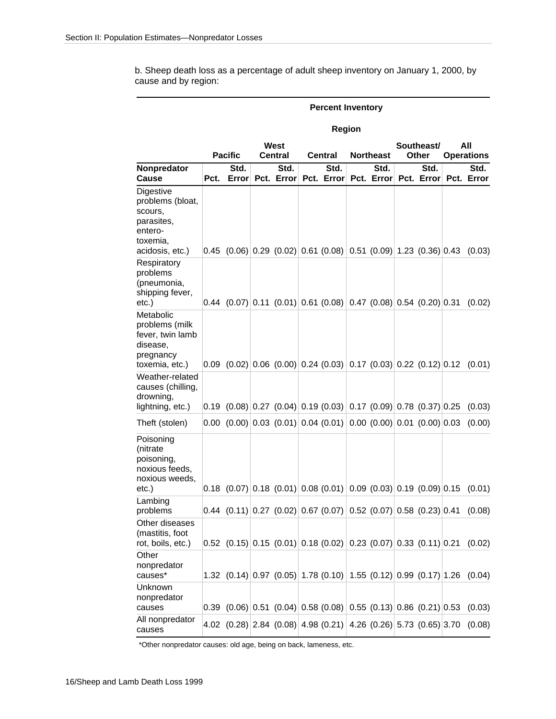b. Sheep death loss as a percentage of adult sheep inventory on January 1, 2000, by cause and by region:

|                                                                                                  |                                          |                                                                                                                                                 |  |                    |                                                     | Region |                  |                                                        |  |        |  |
|--------------------------------------------------------------------------------------------------|------------------------------------------|-------------------------------------------------------------------------------------------------------------------------------------------------|--|--------------------|-----------------------------------------------------|--------|------------------|--------------------------------------------------------|--|--------|--|
|                                                                                                  | West<br><b>Pacific</b><br><b>Central</b> |                                                                                                                                                 |  |                    | <b>Central</b>                                      |        | <b>Northeast</b> | All<br>Southeast/<br><b>Other</b><br><b>Operations</b> |  |        |  |
| Nonpredator<br>Cause                                                                             | Pct.                                     | Std.<br>Error                                                                                                                                   |  | Std.<br>Pct. Error | Std.<br>Pct. Error Pct. Error Pct. Error Pct. Error |        | Std.             | Std.                                                   |  | Std.   |  |
| Digestive<br>problems (bloat,<br>scours,<br>parasites.<br>entero-<br>toxemia.<br>acidosis, etc.) |                                          | $\vert 0.45 \vert (0.06) \vert 0.29 \vert (0.02) \vert 0.61 \vert (0.08) \vert 0.51 \vert (0.09) \vert 1.23 \vert (0.36) \vert 0.43$            |  |                    |                                                     |        |                  |                                                        |  | (0.03) |  |
| Respiratory<br>problems<br>(pneumonia,<br>shipping fever,<br>etc.)                               |                                          | $[0.44 \ (0.07) \ 0.11 \ (0.01) \ 0.61 \ (0.08) \ 0.47 \ (0.08) \ 0.54 \ (0.20) \ 0.31$                                                         |  |                    |                                                     |        |                  |                                                        |  | (0.02) |  |
| Metabolic<br>problems (milk<br>fever, twin lamb<br>disease,<br>pregnancy<br>toxemia, etc.)       |                                          | $ 0.09 \ (0.02) 0.06 \ (0.00) 0.24 \ (0.03) 0.17 \ (0.03) 0.22 \ (0.12) 0.12 \ (0.01)$                                                          |  |                    |                                                     |        |                  |                                                        |  |        |  |
| Weather-related<br>causes (chilling,<br>drowning,<br>lightning, etc.)                            |                                          | $ 0.19 \t(0.08) 0.27 \t(0.04) 0.19 \t(0.03) 0.17 \t(0.09) 0.78 \t(0.37) 0.25$                                                                   |  |                    |                                                     |        |                  |                                                        |  | (0.03) |  |
| Theft (stolen)                                                                                   |                                          | $[0.00 \ (0.00) \ 0.03 \ (0.01) \ 0.04 \ (0.01) \ 0.00 \ (0.00) \ 0.01 \ (0.00) \ 0.03$                                                         |  |                    |                                                     |        |                  |                                                        |  | (0.00) |  |
| Poisoning<br>(nitrate<br>poisoning,<br>noxious feeds,<br>noxious weeds,<br>$etc.$ )              |                                          | $ 0.18 \t(0.07) 0.18 \t(0.01) 0.08 \t(0.01) 0.09 \t(0.03) 0.19 \t(0.09) 0.15$                                                                   |  |                    |                                                     |        |                  |                                                        |  | (0.01) |  |
| Lambing<br>problems                                                                              |                                          | $[0.44 \ (0.11) \ 0.27 \ (0.02) \ 0.67 \ (0.07) \ 0.52 \ (0.07) \ 0.58 \ (0.23) \ 0.41$                                                         |  |                    |                                                     |        |                  |                                                        |  | (0.08) |  |
| Other diseases<br>(mastitis, foot<br>rot, boils, etc.)                                           |                                          | $\vert 0.52 \vert (0.15) \vert 0.15 \vert (0.01) \vert 0.18 \vert (0.02) \vert 0.23 \vert (0.07) \vert 0.33 \vert (0.11) \vert 0.21 \vert 0.21$ |  |                    |                                                     |        |                  |                                                        |  | (0.02) |  |
| Other<br>nonpredator<br>causes*                                                                  |                                          | 1.32 $(0.14)$ 0.97 $(0.05)$ 1.78 $(0.10)$ 1.55 $(0.12)$ 0.99 $(0.17)$ 1.26 $(0.04)$                                                             |  |                    |                                                     |        |                  |                                                        |  |        |  |
| Unknown<br>nonpredator<br>causes                                                                 |                                          | $\vert 0.39 \vert (0.06) \vert 0.51 \vert (0.04) \vert 0.58 \vert (0.08) \vert 0.55 \vert (0.13) \vert 0.86 \vert (0.21) \vert 0.53$            |  |                    |                                                     |        |                  |                                                        |  | (0.03) |  |
| All nonpredator<br>causes                                                                        |                                          | 4.02 $(0.28)$ 2.84 $(0.08)$ 4.98 $(0.21)$ 4.26 $(0.26)$ 5.73 $(0.65)$ 3.70                                                                      |  |                    |                                                     |        |                  |                                                        |  | (0.08) |  |

# **Percent Inventory**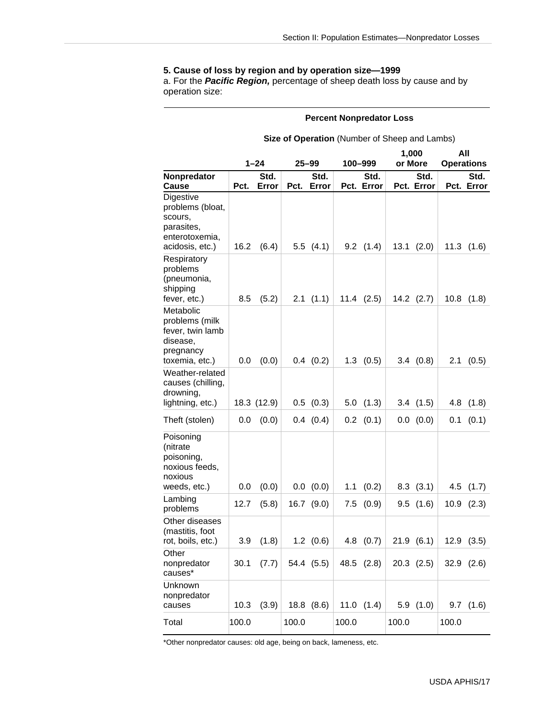### **5. Cause of loss by region and by operation size—1999**

a. For the *Pacific Region,* percentage of sheep death loss by cause and by operation size:

#### **Percent Nonpredator Loss**

#### **Size of Operation** (Number of Sheep and Lambs)

|                                                                                             |          |             |           |               |         |                | 1,000   |                | All   |                   |
|---------------------------------------------------------------------------------------------|----------|-------------|-----------|---------------|---------|----------------|---------|----------------|-------|-------------------|
|                                                                                             | $1 - 24$ |             | $25 - 99$ |               | 100-999 |                | or More |                |       | <b>Operations</b> |
| Nonpredator                                                                                 |          | Std.        |           | Std.          |         | Std.           |         | Std.           |       | Std.              |
| Cause                                                                                       | Pct.     | Error       | Pct.      | Error         |         | Pct. Error     |         | Pct. Error     |       | Pct. Error        |
| Digestive<br>problems (bloat,<br>scours,<br>parasites,<br>enterotoxemia,<br>acidosis, etc.) | 16.2     | (6.4)       |           | 5.5(4.1)      |         | $9.2$ $(1.4)$  | 13.1    | (2.0)          |       | $11.3$ $(1.6)$    |
| Respiratory<br>problems<br>(pneumonia,<br>shipping<br>fever, etc.)                          | 8.5      | (5.2)       |           | 2.1(1.1)      |         | $11.4$ $(2.5)$ |         | $14.2$ $(2.7)$ |       | $10.8$ $(1.8)$    |
| Metabolic<br>problems (milk<br>fever, twin lamb<br>disease,<br>pregnancy<br>toxemia, etc.)  | 0.0      | (0.0)       |           | $0.4$ $(0.2)$ |         | $1.3$ $(0.5)$  |         | 3.4(0.8)       | 2.1   | (0.5)             |
| Weather-related<br>causes (chilling,<br>drowning,<br>lightning, etc.)                       |          | 18.3 (12.9) |           | $0.5$ $(0.3)$ |         | $5.0$ $(1.3)$  |         | $3.4$ $(1.5)$  |       | $4.8$ $(1.8)$     |
| Theft (stolen)                                                                              | 0.0      | (0.0)       |           | $0.4$ $(0.4)$ |         | $0.2$ $(0.1)$  |         | 0.0 (0.0)      | 0.1   | (0.1)             |
| Poisoning<br>(nitrate<br>poisoning,<br>noxious feeds,<br>noxious<br>weeds, etc.)            | 0.0      | (0.0)       |           | 0.0 (0.0)     | 1.1     | (0.2)          |         | $8.3$ $(3.1)$  |       | $4.5$ $(1.7)$     |
| Lambing<br>problems                                                                         | 12.7     | (5.8)       | 16.7      | (9.0)         | 7.5     | (0.9)          |         | 9.5(1.6)       |       | $10.9$ $(2.3)$    |
| Other diseases<br>(mastitis, foot<br>rot, boils, etc.)                                      | 3.9      | (1.8)       |           | $1.2$ $(0.6)$ | 4.8     | (0.7)          |         | 21.9(6.1)      |       | $12.9$ $(3.5)$    |
| Other<br>nonpredator<br>causes*                                                             | 30.1     | (7.7)       |           | 54.4 (5.5)    |         | 48.5 (2.8)     |         | $20.3$ $(2.5)$ |       | $32.9$ $(2.6)$    |
| Unknown<br>nonpredator<br>causes                                                            | 10.3     | (3.9)       |           | 18.8 (8.6)    |         | $11.0$ $(1.4)$ |         | 5.9(1.0)       |       | $9.7$ $(1.6)$     |
| Total                                                                                       | 100.0    |             | 100.0     |               | 100.0   |                | 100.0   |                | 100.0 |                   |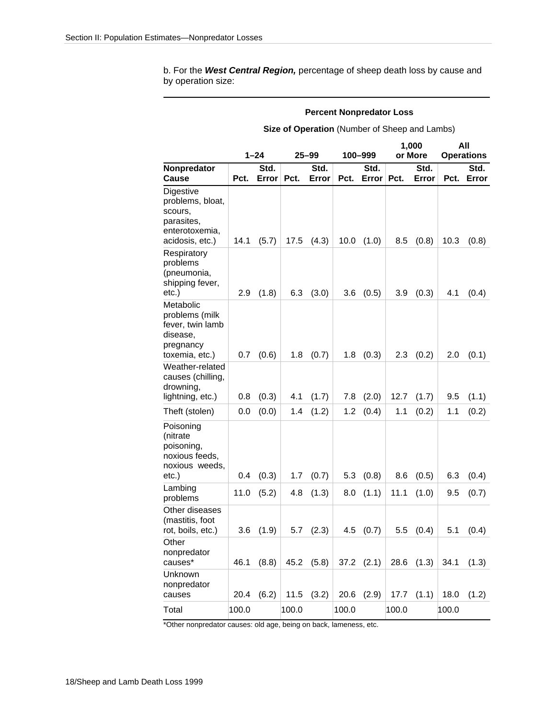b. For the *West Central Region,* percentage of sheep death loss by cause and by operation size:

#### **Percent Nonpredator Loss**

**Size of Operation** (Number of Sheep and Lambs)

|                                                                                             |       | $1 - 24$      | $25 - 99$ |               | 100-999 |                | 1,000<br>or More |               | All<br><b>Operations</b> |               |
|---------------------------------------------------------------------------------------------|-------|---------------|-----------|---------------|---------|----------------|------------------|---------------|--------------------------|---------------|
| Nonpredator<br>Cause                                                                        | Pct.  | Std.<br>Error | Pct.      | Std.<br>Error | Pct.    | Std.<br>Error  | Pct.             | Std.<br>Error | Pct.                     | Std.<br>Error |
| Digestive<br>problems, bloat,<br>scours,<br>parasites,<br>enterotoxemia,<br>acidosis, etc.) | 14.1  | (5.7)         | 17.5      | (4.3)         | 10.0    | (1.0)          | 8.5              | (0.8)         | 10.3                     | (0.8)         |
| Respiratory<br>problems<br>(pneumonia,<br>shipping fever,<br>etc.)                          | 2.9   | (1.8)         | 6.3       | (3.0)         | 3.6     | (0.5)          | 3.9              | (0.3)         | 4.1                      | (0.4)         |
| Metabolic<br>problems (milk<br>fever, twin lamb<br>disease,<br>pregnancy<br>toxemia, etc.)  | 0.7   | (0.6)         | 1.8       | (0.7)         | 1.8     | (0.3)          | 2.3              | (0.2)         | 2.0                      | (0.1)         |
| Weather-related<br>causes (chilling,<br>drowning,<br>lightning, etc.)                       | 0.8   | (0.3)         | 4.1       | (1.7)         | 7.8     | (2.0)          | 12.7             | (1.7)         | 9.5                      | (1.1)         |
| Theft (stolen)                                                                              | 0.0   | (0.0)         | 1.4       | (1.2)         | 1.2     | (0.4)          | 1.1              | (0.2)         | 1.1                      | (0.2)         |
| Poisoning<br>(nitrate<br>poisoning,<br>noxious feeds,<br>noxious weeds,<br>etc.)            | 0.4   | (0.3)         | 1.7       | (0.7)         | 5.3     | (0.8)          | 8.6              | (0.5)         | 6.3                      | (0.4)         |
| Lambing<br>problems                                                                         | 11.0  | (5.2)         | 4.8       | (1.3)         | 8.0     | (1.1)          | 11.1             | (1.0)         | 9.5                      | (0.7)         |
| Other diseases<br>(mastitis, foot<br>rot, boils, etc.)                                      | 3.6   | (1.9)         | 5.7       | (2.3)         | 4.5     | (0.7)          | 5.5              | (0.4)         | 5.1                      | (0.4)         |
| Other<br>nonpredator<br>causes*                                                             | 46.1  | (8.8)         | 45.2      | (5.8)         |         | $37.2$ $(2.1)$ | 28.6             | (1.3)         | 34.1                     | (1.3)         |
| Unknown<br>nonpredator<br>causes                                                            | 20.4  | (6.2)         | 11.5      | (3.2)         | 20.6    | (2.9)          | 17.7             | (1.1)         | 18.0                     | (1.2)         |
| Total                                                                                       | 100.0 |               | 100.0     |               | 100.0   |                | 100.0            |               | 100.0                    |               |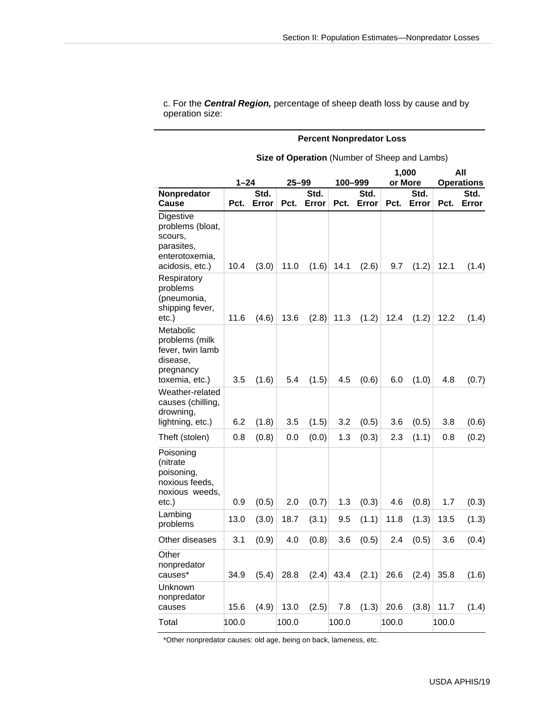c. For the *Central Region,* percentage of sheep death loss by cause and by operation size:

#### **Percent Nonpredator Loss**

|                                                                                             |          |       |           |       |         |       | 1,000   |       | All               |       |  |
|---------------------------------------------------------------------------------------------|----------|-------|-----------|-------|---------|-------|---------|-------|-------------------|-------|--|
|                                                                                             | $1 - 24$ |       | $25 - 99$ |       | 100-999 |       | or More |       | <b>Operations</b> |       |  |
| Nonpredator                                                                                 |          | Std.  |           | Std.  |         | Std.  |         | Std.  |                   | Std.  |  |
| <b>Cause</b>                                                                                | Pct.     | Error | Pct.      | Error | Pct.    | Error | Pct.    | Error | Pct.              | Error |  |
| Digestive<br>problems (bloat,<br>scours,<br>parasites,<br>enterotoxemia,<br>acidosis, etc.) | 10.4     | (3.0) | 11.0      | (1.6) | 14.1    | (2.6) | 9.7     | (1.2) | 12.1              | (1.4) |  |
| Respiratory<br>problems<br>(pneumonia,<br>shipping fever,<br>$etc.$ )                       | 11.6     | (4.6) | 13.6      | (2.8) | 11.3    | (1.2) | 12.4    | (1.2) | 12.2              | (1.4) |  |
| Metabolic<br>problems (milk<br>fever, twin lamb<br>disease,<br>pregnancy<br>toxemia, etc.)  | 3.5      | (1.6) | 5.4       | (1.5) | 4.5     | (0.6) | 6.0     | (1.0) | 4.8               | (0.7) |  |
| Weather-related<br>causes (chilling,<br>drowning,<br>lightning, etc.)                       | 6.2      | (1.8) | 3.5       | (1.5) | 3.2     | (0.5) | 3.6     | (0.5) | 3.8               | (0.6) |  |
| Theft (stolen)                                                                              | 0.8      | (0.8) | 0.0       | (0.0) | 1.3     | (0.3) | 2.3     | (1.1) | 0.8               | (0.2) |  |
| Poisoning<br>(nitrate<br>poisoning,<br>noxious feeds,<br>noxious weeds,<br>$etc.$ )         | 0.9      | (0.5) | 2.0       | (0.7) | 1.3     | (0.3) | 4.6     | (0.8) | 1.7               | (0.3) |  |
| Lambing<br>problems                                                                         | 13.0     | (3.0) | 18.7      | (3.1) | 9.5     | (1.1) | 11.8    | (1.3) | 13.5              | (1.3) |  |
| Other diseases                                                                              | 3.1      | (0.9) | 4.0       | (0.8) | 3.6     | (0.5) | 2.4     | (0.5) | 3.6               | (0.4) |  |
| Other<br>nonpredator<br>causes*                                                             | 34.9     | (5.4) | 28.8      | (2.4) | 43.4    | (2.1) | 26.6    | (2.4) | 35.8              | (1.6) |  |
| Unknown<br>nonpredator<br>causes                                                            | 15.6     | (4.9) | 13.0      | (2.5) | 7.8     | (1.3) | 20.6    | (3.8) | 11.7              | (1.4) |  |
| Total                                                                                       | 100.0    |       | 100.0     |       | 100.0   |       | 100.0   |       | 100.0             |       |  |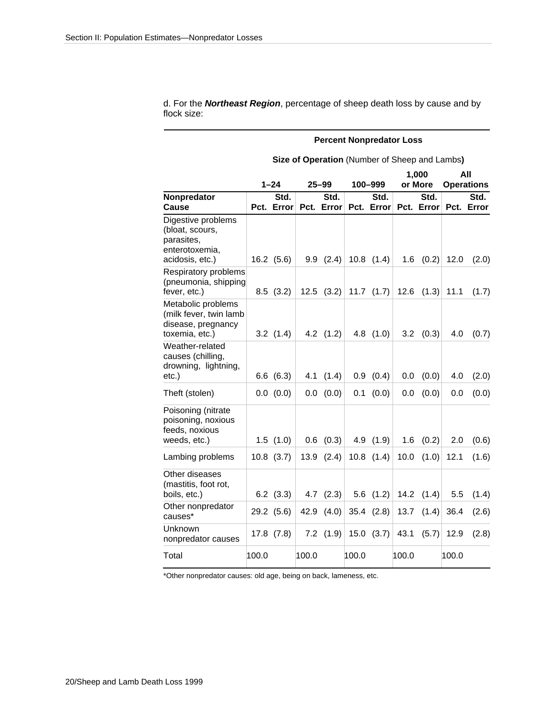d. For the *Northeast Region*, percentage of sheep death loss by cause and by flock size:

#### **Percent Nonpredator Loss**

|                                                                                          |       |                    |       | <b>Operation</b> (Hamber of Orlocp |       |                    |       |                    | $0.10 \pm 0.1100$        |                    |
|------------------------------------------------------------------------------------------|-------|--------------------|-------|------------------------------------|-------|--------------------|-------|--------------------|--------------------------|--------------------|
|                                                                                          |       | $1 - 24$           |       | $25 - 99$                          |       | 100-999            |       | 1,000<br>or More   | All<br><b>Operations</b> |                    |
| Nonpredator<br><b>Cause</b>                                                              |       | Std.<br>Pct. Error |       | Std.<br>Pct. Error                 |       | Std.<br>Pct. Error |       | Std.<br>Pct. Error |                          | Std.<br>Pct. Error |
| Digestive problems<br>(bloat, scours,<br>parasites,<br>enterotoxemia,<br>acidosis, etc.) |       | $16.2$ (5.6)       |       | $9.9$ $(2.4)$                      |       | $10.8$ $(1.4)$     | 1.6   | (0.2)              | 12.0                     | (2.0)              |
| Respiratory problems<br>(pneumonia, shipping<br>fever, etc.)                             |       | 8.5(3.2)           |       | $12.5$ $(3.2)$                     |       | $11.7$ $(1.7)$     | 12.6  | (1.3)              | 11.1                     | (1.7)              |
| Metabolic problems<br>(milk fever, twin lamb<br>disease, pregnancy<br>toxemia, etc.)     |       | 3.2(1.4)           |       | 4.2 $(1.2)$                        |       | $4.8$ $(1.0)$      | 3.2   | (0.3)              | 4.0                      | (0.7)              |
| Weather-related<br>causes (chilling,<br>drowning, lightning,<br>etc.)                    |       | 6.6(6.3)           | 4.1   | (1.4)                              |       | $0.9$ $(0.4)$      | 0.0   | (0.0)              | 4.0                      | (2.0)              |
| Theft (stolen)                                                                           |       | 0.0 (0.0)          |       | 0.0 (0.0)                          | 0.1   | (0.0)              | 0.0   | (0.0)              | 0.0                      | (0.0)              |
| Poisoning (nitrate<br>poisoning, noxious<br>feeds, noxious<br>weeds, etc.)               |       | 1.5(1.0)           | 0.6   | (0.3)                              |       | 4.9 (1.9)          | 1.6   | (0.2)              | 2.0                      | (0.6)              |
| Lambing problems                                                                         |       | $10.8$ $(3.7)$     |       | $13.9$ $(2.4)$                     |       | $10.8$ $(1.4)$     | 10.0  | (1.0)              | 12.1                     | (1.6)              |
| Other diseases<br>(mastitis, foot rot,<br>boils, etc.)                                   |       | $6.2$ $(3.3)$      | 4.7   | (2.3)                              |       | $5.6$ $(1.2)$      | 14.2  | (1.4)              | 5.5                      | (1.4)              |
| Other nonpredator<br>causes*                                                             |       | 29.2 (5.6)         | 42.9  | (4.0)                              |       | $35.4$ $(2.8)$     | 13.7  | (1.4)              | 36.4                     | (2.6)              |
| Unknown<br>nonpredator causes                                                            |       | $17.8$ $(7.8)$     |       | $7.2$ $(1.9)$                      |       | $15.0$ $(3.7)$     | 43.1  | (5.7)              | 12.9                     | (2.8)              |
| Total                                                                                    | 100.0 |                    | 100.0 |                                    | 100.0 |                    | 100.0 |                    | 100.0                    |                    |

**Size of Operation** (Number of Sheep and Lambs**)**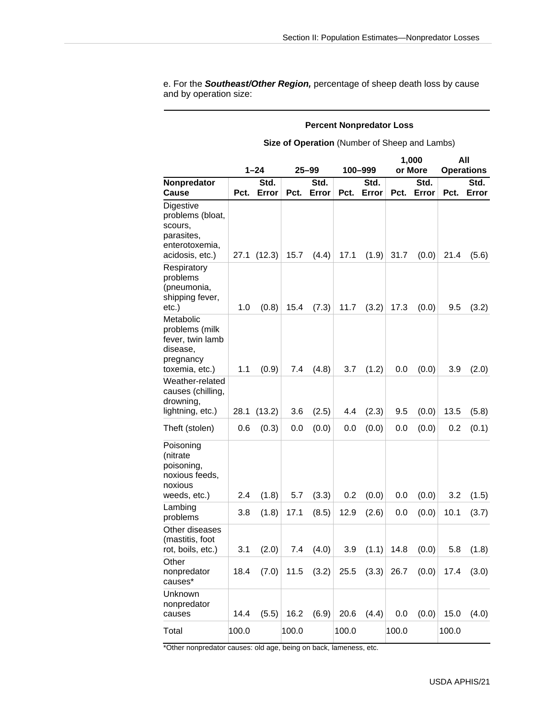e. For the *Southeast/Other Region,* percentage of sheep death loss by cause and by operation size:

#### **Percent Nonpredator Loss**

**Size of Operation** (Number of Sheep and Lambs)

|                                                                                             |       |          |       |           |       |         | 1,000 | All     |       |                   |
|---------------------------------------------------------------------------------------------|-------|----------|-------|-----------|-------|---------|-------|---------|-------|-------------------|
|                                                                                             |       | $1 - 24$ |       | $25 - 99$ |       | 100–999 |       | or More |       | <b>Operations</b> |
| Nonpredator                                                                                 |       | Std.     |       | Std.      |       | Std.    |       | Std.    |       | Std.              |
| Cause                                                                                       | Pct.  | Error    | Pct.  | Error     | Pct.  | Error   | Pct.  | Error   | Pct.  | Error             |
| Digestive<br>problems (bloat,<br>scours,<br>parasites,<br>enterotoxemia,<br>acidosis, etc.) | 27.1  | (12.3)   | 15.7  | (4.4)     | 17.1  | (1.9)   | 31.7  | (0.0)   | 21.4  | (5.6)             |
| Respiratory<br>problems<br>(pneumonia,<br>shipping fever,<br>etc.)                          | 1.0   | (0.8)    | 15.4  | (7.3)     | 11.7  | (3.2)   | 17.3  | (0.0)   | 9.5   | (3.2)             |
| Metabolic<br>problems (milk<br>fever, twin lamb<br>disease,<br>pregnancy<br>toxemia, etc.)  | 1.1   | (0.9)    | 7.4   | (4.8)     | 3.7   | (1.2)   | 0.0   | (0.0)   | 3.9   | (2.0)             |
| Weather-related<br>causes (chilling,<br>drowning,<br>lightning, etc.)                       | 28.1  | (13.2)   | 3.6   | (2.5)     | 4.4   | (2.3)   | 9.5   | (0.0)   | 13.5  | (5.8)             |
| Theft (stolen)                                                                              | 0.6   | (0.3)    | 0.0   | (0.0)     | 0.0   | (0.0)   | 0.0   | (0.0)   | 0.2   | (0.1)             |
| Poisoning<br>(nitrate<br>poisoning,<br>noxious feeds,<br>noxious<br>weeds, etc.)            | 2.4   | (1.8)    | 5.7   | (3.3)     | 0.2   | (0.0)   | 0.0   | (0.0)   | 3.2   | (1.5)             |
| Lambing<br>problems                                                                         | 3.8   | (1.8)    | 17.1  | (8.5)     | 12.9  | (2.6)   | 0.0   | (0.0)   | 10.1  | (3.7)             |
| Other diseases<br>(mastitis, foot<br>rot, boils, etc.)                                      | 3.1   | (2.0)    | 7.4   | (4.0)     | 3.9   | (1.1)   | 14.8  | (0.0)   | 5.8   | (1.8)             |
| Other<br>nonpredator<br>causes*                                                             | 18.4  | (7.0)    | 11.5  | (3.2)     | 25.5  | (3.3)   | 26.7  | (0.0)   | 17.4  | (3.0)             |
| Unknown<br>nonpredator<br>causes                                                            | 14.4  | (5.5)    | 16.2  | (6.9)     | 20.6  | (4.4)   | 0.0   | (0.0)   | 15.0  | (4.0)             |
| Total                                                                                       | 100.0 |          | 100.0 |           | 100.0 |         | 100.0 |         | 100.0 |                   |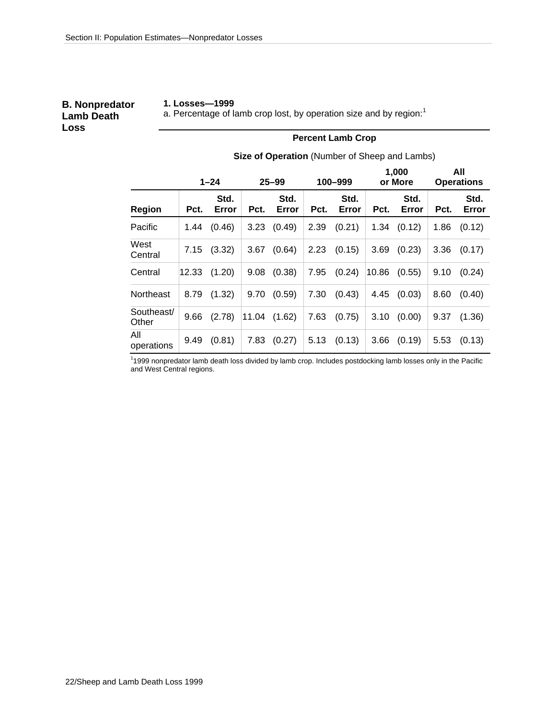#### **B. Nonpredator Lamb Death Loss**

#### **1. Losses—1999**

a. Percentage of lamb crop lost, by operation size and by region: $1$ 

#### **Percent Lamb Crop**

**Size of Operation** (Number of Sheep and Lambs)

|                     | $1 - 24$ |               | $25 - 99$ |               | 100-999 |               | 1,000<br>or More | All<br><b>Operations</b> |      |               |
|---------------------|----------|---------------|-----------|---------------|---------|---------------|------------------|--------------------------|------|---------------|
| <b>Region</b>       | Pct.     | Std.<br>Error | Pct.      | Std.<br>Error | Pct.    | Std.<br>Error | Pct.             | Std.<br>Error            | Pct. | Std.<br>Error |
| Pacific             | 1.44     | (0.46)        | 3.23      | (0.49)        | 2.39    | (0.21)        | 1.34             | (0.12)                   | 1.86 | (0.12)        |
| West<br>Central     | 7.15     | (3.32)        | 3.67      | (0.64)        | 2.23    | (0.15)        | 3.69             | (0.23)                   | 3.36 | (0.17)        |
| Central             | 12.33    | (1.20)        | 9.08      | (0.38)        | 7.95    | (0.24)        | 10.86            | (0.55)                   | 9.10 | (0.24)        |
| Northeast           | 8.79     | (1.32)        | 9.70      | (0.59)        | 7.30    | (0.43)        | 4.45             | (0.03)                   | 8.60 | (0.40)        |
| Southeast/<br>Other | 9.66     | (2.78)        |           | 11.04 (1.62)  | 7.63    | (0.75)        | 3.10             | (0.00)                   | 9.37 | (1.36)        |
| All<br>operations   | 9.49     | (0.81)        | 7.83      | (0.27)        | 5.13    | (0.13)        | 3.66             | (0.19)                   | 5.53 | (0.13)        |

1 1999 nonpredator lamb death loss divided by lamb crop. Includes postdocking lamb losses only in the Pacific and West Central regions.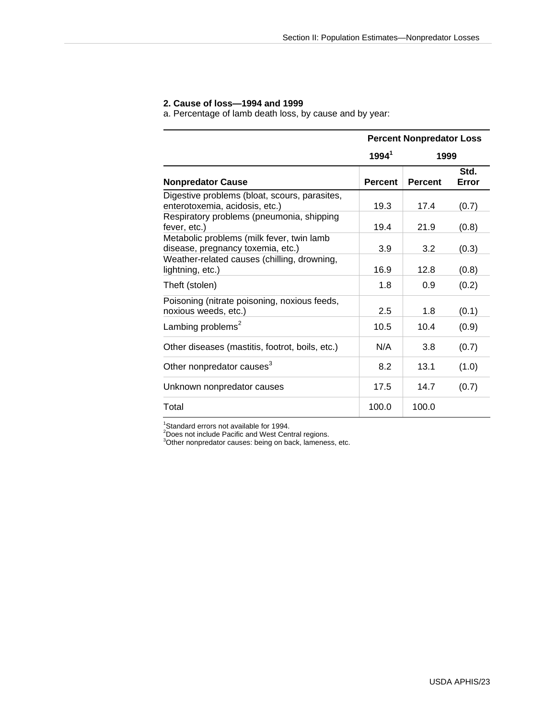#### **2. Cause of loss—1994 and 1999**

a. Percentage of lamb death loss, by cause and by year:

|                                                                                 |                | <b>Percent Nonpredator Loss</b> |               |
|---------------------------------------------------------------------------------|----------------|---------------------------------|---------------|
|                                                                                 | $1994^1$       | 1999                            |               |
| <b>Nonpredator Cause</b>                                                        | <b>Percent</b> | <b>Percent</b>                  | Std.<br>Error |
| Digestive problems (bloat, scours, parasites,<br>enterotoxemia, acidosis, etc.) | 19.3           | 17.4                            | (0.7)         |
| Respiratory problems (pneumonia, shipping<br>fever, etc.)                       | 19.4           | 21.9                            | (0.8)         |
| Metabolic problems (milk fever, twin lamb<br>disease, pregnancy toxemia, etc.)  | 3.9            | 3.2                             | (0.3)         |
| Weather-related causes (chilling, drowning,<br>lightning, etc.)                 | 16.9           | 12.8                            | (0.8)         |
| Theft (stolen)                                                                  | 1.8            | 0.9                             | (0.2)         |
| Poisoning (nitrate poisoning, noxious feeds,<br>noxious weeds, etc.)            | $2.5\,$        | 1.8                             | (0.1)         |
| Lambing problems <sup>2</sup>                                                   | 10.5           | 10.4                            | (0.9)         |
| Other diseases (mastitis, footrot, boils, etc.)                                 | N/A            | 3.8                             | (0.7)         |
| Other nonpredator causes <sup>3</sup>                                           | 8.2            | 13.1                            | (1.0)         |
| Unknown nonpredator causes                                                      | 17.5           | 14.7                            | (0.7)         |
| Total                                                                           | 100.0          | 100.0                           |               |

<sup>1</sup>Standard errors not available for 1994.<br><sup>2</sup>Does not include Pacific and West Central regions.<br><sup>3</sup>Other nonpredator causes: being on back, lameness, etc.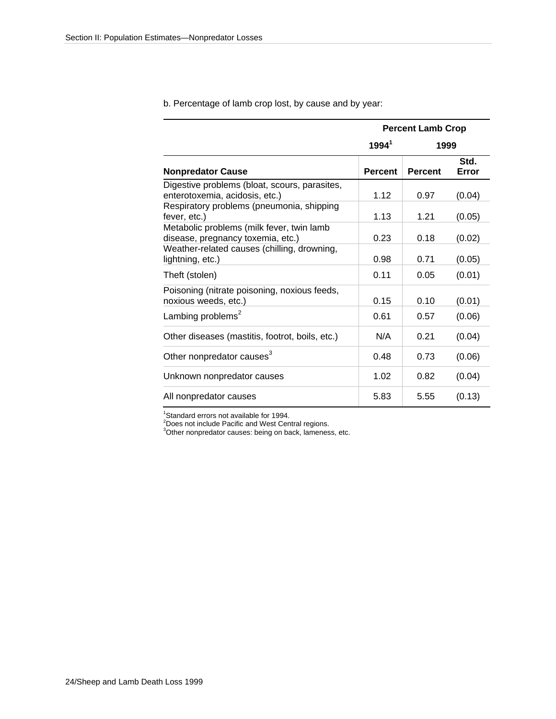|                                                                                 | <b>Percent Lamb Crop</b> |                |               |  |  |  |  |  |
|---------------------------------------------------------------------------------|--------------------------|----------------|---------------|--|--|--|--|--|
|                                                                                 | $1994^1$                 | 1999           |               |  |  |  |  |  |
| <b>Nonpredator Cause</b>                                                        | <b>Percent</b>           | <b>Percent</b> | Std.<br>Error |  |  |  |  |  |
| Digestive problems (bloat, scours, parasites,<br>enterotoxemia, acidosis, etc.) | 1.12                     | 0.97           | (0.04)        |  |  |  |  |  |
| Respiratory problems (pneumonia, shipping<br>fever, etc.)                       | 1.13                     | 1.21           | (0.05)        |  |  |  |  |  |
| Metabolic problems (milk fever, twin lamb<br>disease, pregnancy toxemia, etc.)  | 0.23                     | 0.18           | (0.02)        |  |  |  |  |  |
| Weather-related causes (chilling, drowning,<br>lightning, etc.)                 | 0.98                     | 0.71           | (0.05)        |  |  |  |  |  |
| Theft (stolen)                                                                  | 0.11                     | 0.05           | (0.01)        |  |  |  |  |  |
| Poisoning (nitrate poisoning, noxious feeds,<br>noxious weeds, etc.)            | 0.15                     | 0.10           | (0.01)        |  |  |  |  |  |
| Lambing problems <sup>2</sup>                                                   | 0.61                     | 0.57           | (0.06)        |  |  |  |  |  |
| Other diseases (mastitis, footrot, boils, etc.)                                 | N/A                      | 0.21           | (0.04)        |  |  |  |  |  |
| Other nonpredator causes <sup>3</sup>                                           | 0.48                     | 0.73           | (0.06)        |  |  |  |  |  |
| Unknown nonpredator causes                                                      | 1.02                     | 0.82           | (0.04)        |  |  |  |  |  |
| All nonpredator causes                                                          | 5.83                     | 5.55           | (0.13)        |  |  |  |  |  |

b. Percentage of lamb crop lost, by cause and by year:

<sup>1</sup>Standard errors not available for 1994.<br><sup>2</sup>Does not include Pacific and West Central regions.<br><sup>3</sup>Other nonpredator causes: being on back, lameness, etc.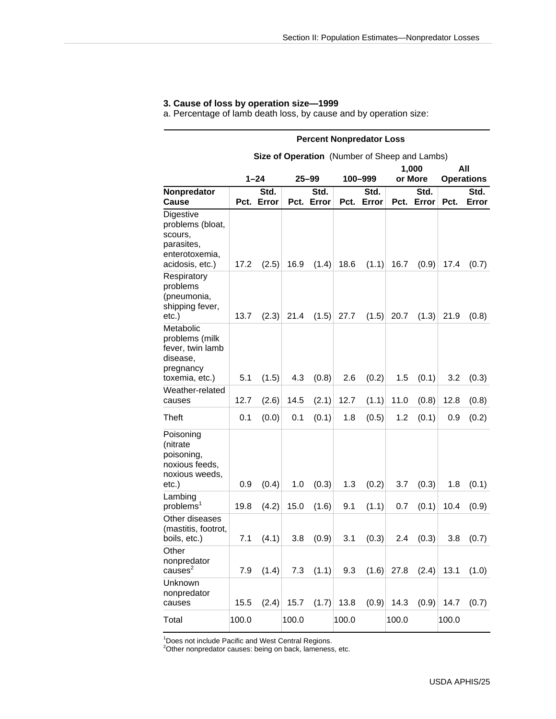# **3. Cause of loss by operation size—1999**

a. Percentage of lamb death loss, by cause and by operation size:

|                                                                                             | <b>Percent Nonpredator Loss</b> |                                               |       |               |         |               |              |                    |                   |               |  |  |  |
|---------------------------------------------------------------------------------------------|---------------------------------|-----------------------------------------------|-------|---------------|---------|---------------|--------------|--------------------|-------------------|---------------|--|--|--|
|                                                                                             |                                 | Size of Operation (Number of Sheep and Lambs) |       |               |         |               |              |                    |                   |               |  |  |  |
|                                                                                             |                                 |                                               |       |               |         |               |              | 1,000              |                   | All           |  |  |  |
|                                                                                             |                                 | $1 - 24$                                      |       | $25 - 99$     | 100-999 |               |              | or More            | <b>Operations</b> |               |  |  |  |
| Nonpredator<br>Cause                                                                        |                                 | Std.<br>Pct. Error                            | Pct.  | Std.<br>Error | Pct.    | Std.<br>Error |              | Std.<br>Pct. Error | Pct.              | Std.<br>Error |  |  |  |
| Digestive<br>problems (bloat,<br>scours,<br>parasites,<br>enterotoxemia,<br>acidosis, etc.) | 17.2                            | (2.5)                                         | 16.9  | (1.4)         | 18.6    | (1.1)         | 16.7         | (0.9)              | 17.4              | (0.7)         |  |  |  |
| Respiratory<br>problems<br>(pneumonia,<br>shipping fever,<br>etc.)                          | 13.7                            | (2.3)                                         | 21.4  | (1.5)         | 27.7    | (1.5)         | 20.7         | (1.3)              | 21.9              | (0.8)         |  |  |  |
| Metabolic<br>problems (milk<br>fever, twin lamb<br>disease,<br>pregnancy<br>toxemia, etc.)  | 5.1                             | (1.5)                                         | 4.3   | (0.8)         | 2.6     | (0.2)         | 1.5          | (0.1)              | 3.2               | (0.3)         |  |  |  |
| Weather-related<br>causes                                                                   | 12.7                            | (2.6)                                         | 14.5  | (2.1)         | 12.7    | (1.1)         | 11.0         | (0.8)              | 12.8              | (0.8)         |  |  |  |
| <b>Theft</b>                                                                                | 0.1                             | (0.0)                                         | 0.1   | (0.1)         | 1.8     | (0.5)         | 1.2          | (0.1)              | 0.9               | (0.2)         |  |  |  |
| Poisoning<br>(nitrate<br>poisoning,<br>noxious feeds,<br>noxious weeds,<br>etc.)            | 0.9                             | (0.4)                                         | 1.0   | (0.3)         | 1.3     | (0.2)         | 3.7          | (0.3)              | 1.8               | (0.1)         |  |  |  |
| Lambing<br>problems <sup>1</sup>                                                            | 19.8                            | (4.2)                                         | 15.0  | (1.6)         | 9.1     | (1.1)         | 0.7          | (0.1)              | 10.4              | (0.9)         |  |  |  |
| Other diseases<br>(mastitis, footrot,<br>boils, etc.)                                       | 7.1                             | (4.1)                                         | 3.8   | (0.9)         | 3.1     | (0.3)         | 2.4          | (0.3)              | 3.8               | (0.7)         |  |  |  |
| Other<br>nonpredator<br>causes <sup>2</sup>                                                 | 7.9                             | (1.4)                                         | 7.3   | (1.1)         | 9.3     |               | $(1.6)$ 27.8 | (2.4)              | 13.1              | (1.0)         |  |  |  |
| Unknown<br>nonpredator<br>causes                                                            | 15.5                            | (2.4)                                         | 15.7  | (1.7)         | 13.8    | (0.9)         | 14.3         | (0.9)              | 14.7              | (0.7)         |  |  |  |
| Total                                                                                       | 100.0                           |                                               | 100.0 |               | 100.0   |               | 100.0        |                    | 100.0             |               |  |  |  |

1 Does not include Pacific and West Central Regions. 2 Other nonpredator causes: being on back, lameness, etc.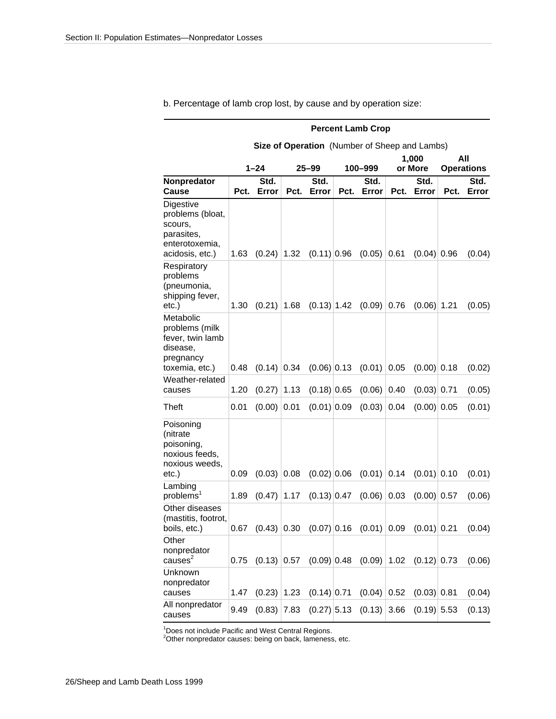|                                                                                             | <b>Percent Lamb Crop</b> |               |      |               |         |                                                         |         |               |                   |               |  |  |
|---------------------------------------------------------------------------------------------|--------------------------|---------------|------|---------------|---------|---------------------------------------------------------|---------|---------------|-------------------|---------------|--|--|
|                                                                                             |                          |               |      |               |         | Size of Operation (Number of Sheep and Lambs)           |         |               |                   |               |  |  |
|                                                                                             |                          |               |      |               |         |                                                         |         | 1,000         |                   | All           |  |  |
|                                                                                             |                          | $1 - 24$      |      | $25 - 99$     | 100-999 |                                                         | or More |               | <b>Operations</b> |               |  |  |
| Nonpredator<br>Cause                                                                        | Pct.                     | Std.<br>Error | Pct. | Std.<br>Error | Pct.    | Std.<br>Error                                           | Pct.    | Std.<br>Error | Pct.              | Std.<br>Error |  |  |
| Digestive<br>problems (bloat,<br>scours,<br>parasites,<br>enterotoxemia,<br>acidosis, etc.) | 1.63                     | (0.24)        | 1.32 | $(0.11)$ 0.96 |         | (0.05)                                                  | 0.61    | $(0.04)$ 0.96 |                   | (0.04)        |  |  |
| Respiratory<br>problems<br>(pneumonia,<br>shipping fever,<br>$etc.$ )                       | 1.30                     | (0.21)        | 1.68 | $(0.13)$ 1.42 |         | (0.09)                                                  | 0.76    | $(0.06)$ 1.21 |                   | (0.05)        |  |  |
| Metabolic<br>problems (milk<br>fever, twin lamb<br>disease,<br>pregnancy<br>toxemia, etc.)  | 0.48                     | $(0.14)$ 0.34 |      | $(0.06)$ 0.13 |         | (0.01)                                                  | 0.05    | $(0.00)$ 0.18 |                   | (0.02)        |  |  |
| Weather-related<br>causes                                                                   | 1.20                     | (0.27)        | 1.13 | $(0.18)$ 0.65 |         | (0.06)                                                  | 0.40    | $(0.03)$ 0.71 |                   | (0.05)        |  |  |
| <b>Theft</b>                                                                                | 0.01                     | (0.00)        | 0.01 | $(0.01)$ 0.09 |         | (0.03)                                                  | 0.04    | $(0.00)$ 0.05 |                   | (0.01)        |  |  |
| Poisoning<br>(nitrate<br>poisoning,<br>noxious feeds,<br>noxious weeds,<br>etc.)            | 0.09                     | (0.03)        | 0.08 | $(0.02)$ 0.06 |         | (0.01)                                                  | 0.14    | $(0.01)$ 0.10 |                   | (0.01)        |  |  |
| Lambing<br>problem <sup>1</sup>                                                             | 1.89                     | (0.47)        | 1.17 | $(0.13)$ 0.47 |         | (0.06)                                                  | 0.03    | $(0.00)$ 0.57 |                   | (0.06)        |  |  |
| Other diseases<br>(mastitis, footrot,<br>boils, etc.)                                       | 0.67                     |               |      |               |         | $(0.43)$ 0.30 $(0.07)$ 0.16 $(0.01)$ 0.09 $(0.01)$ 0.21 |         |               |                   | (0.04)        |  |  |
| Other<br>nonpredator<br>causes <sup>2</sup>                                                 | 0.75                     |               |      |               |         | $(0.13)$ 0.57 $(0.09)$ 0.48 $(0.09)$ 1.02 $(0.12)$ 0.73 |         |               |                   | (0.06)        |  |  |
| Unknown<br>nonpredator<br>causes                                                            | 1.47                     | $(0.23)$ 1.23 |      | $(0.14)$ 0.71 |         | $(0.04)$ 0.52                                           |         | (0.03) 0.81   |                   | (0.04)        |  |  |
| All nonpredator<br>causes                                                                   | 9.49                     |               |      |               |         | $(0.83)$ 7.83 $(0.27)$ 5.13 $(0.13)$ 3.66               |         | $(0.19)$ 5.53 |                   | (0.13)        |  |  |

b. Percentage of lamb crop lost, by cause and by operation size:

1 Does not include Pacific and West Central Regions. 2 Other nonpredator causes: being on back, lameness, etc.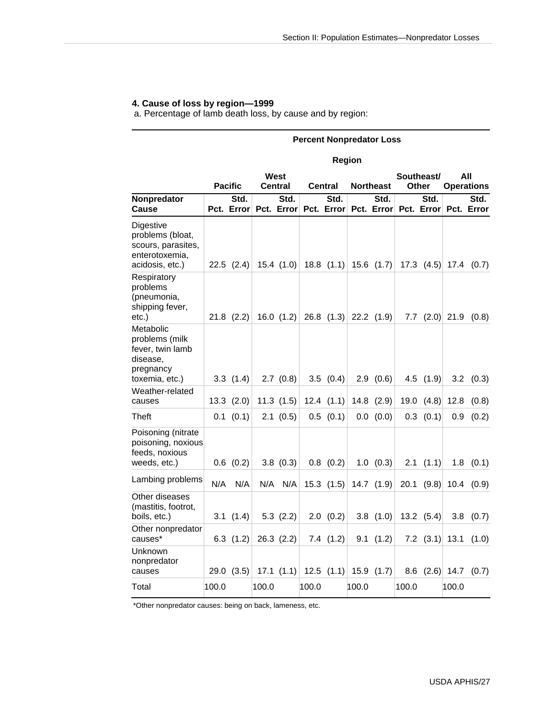# **4. Cause of loss by region—1999**

a. Percentage of lamb death loss, by cause and by region:

#### **Percent Nonpredator Loss**

#### **Region**

|                                                                                            | West<br><b>Pacific</b><br><b>Central</b> |                    |       |                    | Central |                    | <b>Northeast</b> | Southeast/<br>Other       | All<br><b>Operations</b> |                    |                    |                          |
|--------------------------------------------------------------------------------------------|------------------------------------------|--------------------|-------|--------------------|---------|--------------------|------------------|---------------------------|--------------------------|--------------------|--------------------|--------------------------|
| Nonpredator<br>Cause                                                                       |                                          | Std.<br>Pct. Error |       | Std.<br>Pct. Error |         | Std.<br>Pct. Error |                  | Std.<br>Pct. Error        |                          | Std.<br>Pct. Error |                    | Std.<br>Pct. Error       |
| Digestive<br>problems (bloat,<br>scours, parasites,<br>enterotoxemia,<br>acidosis, etc.)   |                                          | $22.5$ $(2.4)$     |       | $15.4$ $(1.0)$     |         |                    |                  | 18.8 $(1.1)$ 15.6 $(1.7)$ |                          |                    | 17.3 $(4.5)$ 17.4  | (0.7)                    |
| Respiratory<br>problems<br>(pneumonia,<br>shipping fever,<br>etc.)                         |                                          | $21.8$ $(2.2)$     |       | 16.0 $(1.2)$       |         |                    |                  | 26.8 $(1.3)$ 22.2 $(1.9)$ |                          |                    |                    | 7.7 $(2.0)$ 21.9 $(0.8)$ |
| Metabolic<br>problems (milk<br>fever, twin lamb<br>disease,<br>pregnancy<br>toxemia, etc.) |                                          | 3.3(1.4)           |       | 2.7(0.8)           |         | 3.5(0.4)           |                  | 2.9(0.6)                  |                          | $4.5$ $(1.9)$      | 3.2                | (0.3)                    |
| Weather-related<br>causes                                                                  |                                          | 13.3(2.0)          |       | 11.3(1.5)          |         | $12.4$ $(1.1)$     |                  | $14.8$ $(2.9)$            |                          | 19.0 $(4.8)$       | 12.8               | (0.8)                    |
| <b>Theft</b>                                                                               |                                          | $0.1$ (0.1)        |       | 2.1(0.5)           |         | $0.5$ $(0.1)$      |                  | 0.0 (0.0)                 | 0.3                      | (0.1)              | 0.9                | (0.2)                    |
| Poisoning (nitrate<br>poisoning, noxious<br>feeds, noxious<br>weeds, etc.)                 |                                          | $0.6$ $(0.2)$      |       | 3.8(0.3)           |         | $0.8$ $(0.2)$      |                  | $1.0$ (0.3)               |                          | $2.1$ $(1.1)$      |                    | $1.8$ $(0.1)$            |
| Lambing problems                                                                           | N/A                                      | N/A                |       | N/A N/A            |         | $15.3$ $(1.5)$     |                  | 14.7 $(1.9)$              | 20.1                     | (9.8)              |                    | $10.4$ $(0.9)$           |
| Other diseases<br>(mastitis, footrot,<br>boils, etc.)                                      |                                          | 3.1(1.4)           |       | 5.3(2.2)           |         | 2.0(0.2)           |                  | 3.8(1.0)                  |                          | $13.2$ $(5.4)$     |                    | $3.8$ $(0.7)$            |
| Other nonpredator<br>causes*                                                               |                                          | $6.3$ $(1.2)$      |       | $26.3$ $(2.2)$     |         | 7.4(1.2)           |                  | 9.1(1.2)                  |                          | $7.2$ (3.1)        | 13.1               | (1.0)                    |
| Unknown<br>nonpredator<br>causes                                                           |                                          | 29.0(3.5)          |       | 17.1 $(1.1)$       |         | 12.5 $(1.1)$       |                  | 15.9 $(1.7)$              |                          |                    | $8.6$ $(2.6)$ 14.7 | (0.7)                    |
| Total                                                                                      | 100.0                                    |                    | 100.0 |                    | 100.0   |                    | 100.0            |                           | 100.0                    |                    | 100.0              |                          |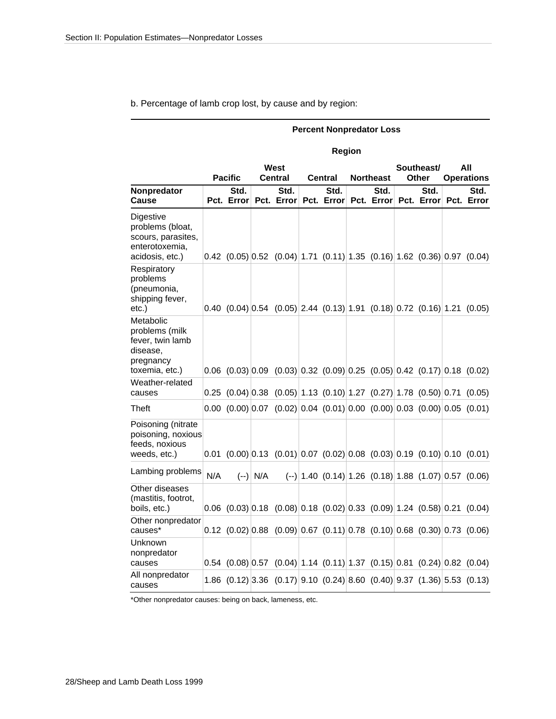b. Percentage of lamb crop lost, by cause and by region:

#### **Percent Nonpredator Loss**

#### **Region**

|                                                                                            | <b>Pacific</b> |                    | <b>West</b><br>Central<br>Central |                    |  |                    | <b>Northeast</b>   | Southeast/<br>Other |                    | All<br><b>Operations</b> |                                                                                                 |
|--------------------------------------------------------------------------------------------|----------------|--------------------|-----------------------------------|--------------------|--|--------------------|--------------------|---------------------|--------------------|--------------------------|-------------------------------------------------------------------------------------------------|
| Nonpredator<br>Cause                                                                       |                | Std.<br>Pct. Error |                                   | Std.<br>Pct. Error |  | Std.<br>Pct. Error | Std.<br>Pct. Error |                     | Std.<br>Pct. Error |                          | Std.<br>Pct. Error                                                                              |
| Digestive<br>problems (bloat,<br>scours, parasites,<br>enterotoxemia,<br>acidosis, etc.)   |                |                    |                                   |                    |  |                    |                    |                     |                    |                          | $0.42$ (0.05) 0.52 (0.04) 1.71 (0.11) 1.35 (0.16) 1.62 (0.36) 0.97 (0.04)                       |
| Respiratory<br>problems<br>(pneumonia,<br>shipping fever,<br>etc.)                         |                |                    |                                   |                    |  |                    |                    |                     |                    |                          | $0.40$ (0.04) $0.54$ (0.05) 2.44 (0.13) 1.91 (0.18) 0.72 (0.16) 1.21 (0.05)                     |
| Metabolic<br>problems (milk<br>fever, twin lamb<br>disease,<br>pregnancy<br>toxemia, etc.) |                |                    |                                   |                    |  |                    |                    |                     |                    |                          | $0.06$ $(0.03)$ $0.09$ $(0.03)$ $0.32$ $(0.09)$ $0.25$ $(0.05)$ $0.42$ $(0.17)$ $0.18$ $(0.02)$ |
| Weather-related<br>causes                                                                  |                |                    |                                   |                    |  |                    |                    |                     |                    |                          | $0.25$ $(0.04)$ $0.38$ $(0.05)$ 1.13 $(0.10)$ 1.27 $(0.27)$ 1.78 $(0.50)$ 0.71 $(0.05)$         |
| Theft                                                                                      |                |                    |                                   |                    |  |                    |                    |                     |                    |                          | $0.00$ $(0.00)$ $0.07$ $(0.02)$ $0.04$ $(0.01)$ $0.00$ $(0.00)$ $0.03$ $(0.00)$ $0.05$ $(0.01)$ |
| Poisoning (nitrate<br>poisoning, noxious<br>feeds, noxious<br>weeds, etc.)                 |                |                    |                                   |                    |  |                    |                    |                     |                    |                          | $0.01$ $(0.00)$ $0.13$ $(0.01)$ $0.07$ $(0.02)$ $0.08$ $(0.03)$ $0.19$ $(0.10)$ $0.10$ $(0.01)$ |
| Lambing problems                                                                           | N/A            |                    | $(-)$ N/A                         |                    |  |                    |                    |                     |                    |                          | $(-)$   1.40 (0.14)  1.26 (0.18)  1.88 (1.07)  0.57 (0.06)                                      |
| Other diseases<br>(mastitis, footrot,<br>boils, etc.)                                      |                |                    |                                   |                    |  |                    |                    |                     |                    |                          | $0.06$ $(0.03)$ $0.18$ $(0.08)$ $0.18$ $(0.02)$ $0.33$ $(0.09)$ 1.24 $(0.58)$ $0.21$ $(0.04)$   |
| Other nonpredator<br>causes*                                                               |                |                    |                                   |                    |  |                    |                    |                     |                    |                          | $0.12$ (0.02) 0.88 (0.09) 0.67 (0.11) 0.78 (0.10) 0.68 (0.30) 0.73 (0.06)                       |
| Unknown<br>nonpredator<br>causes                                                           |                |                    |                                   |                    |  |                    |                    |                     |                    |                          | $0.54$ (0.08) 0.57 (0.04) 1.14 (0.11) 1.37 (0.15) 0.81 (0.24) 0.82 (0.04)                       |
| All nonpredator<br>causes                                                                  |                |                    |                                   |                    |  |                    |                    |                     |                    |                          | 1.86 $(0.12)$ 3.36 $(0.17)$ 9.10 $(0.24)$ 8.60 $(0.40)$ 9.37 $(1.36)$ 5.53 $(0.13)$             |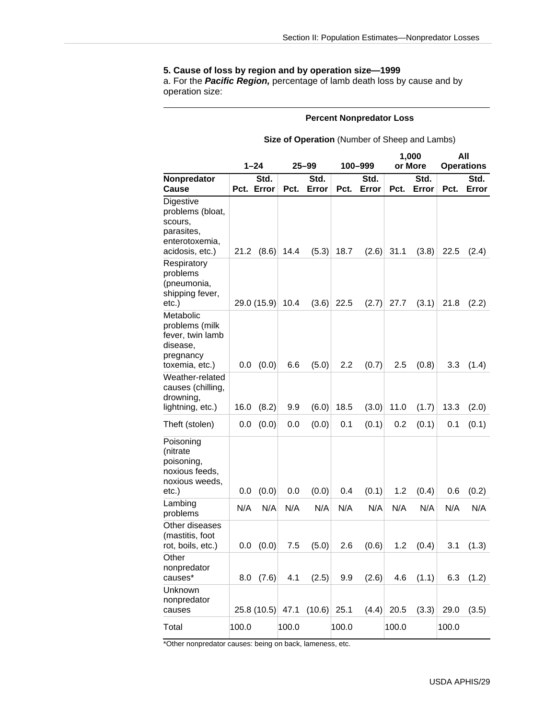#### **5. Cause of loss by region and by operation size—1999**

a. For the *Pacific Region,* percentage of lamb death loss by cause and by operation size:

#### **Percent Nonpredator Loss**

#### **Size of Operation** (Number of Sheep and Lambs)

|                                                                                             | $1 - 24$ |                    |       |               |       |               |       | 1,000         | All<br><b>Operations</b> |               |
|---------------------------------------------------------------------------------------------|----------|--------------------|-------|---------------|-------|---------------|-------|---------------|--------------------------|---------------|
|                                                                                             |          |                    |       | 25–99         |       | 100-999       |       | or More       |                          |               |
| Nonpredator<br>Cause                                                                        |          | Std.<br>Pct. Error | Pct.  | Std.<br>Error | Pct.  | Std.<br>Error | Pct.  | Std.<br>Error | Pct.                     | Std.<br>Error |
| Digestive<br>problems (bloat,<br>scours,<br>parasites,<br>enterotoxemia,<br>acidosis, etc.) | 21.2     | (8.6)              | 14.4  | (5.3)         | 18.7  | (2.6)         | 31.1  | (3.8)         | 22.5                     | (2.4)         |
| Respiratory<br>problems<br>(pneumonia,<br>shipping fever,<br>etc.)                          |          | 29.0 (15.9)        | 10.4  | (3.6)         | 22.5  | (2.7)         | 27.7  | (3.1)         | 21.8                     | (2.2)         |
| Metabolic<br>problems (milk<br>fever, twin lamb<br>disease,<br>pregnancy<br>toxemia, etc.)  | 0.0      | (0.0)              | 6.6   | (5.0)         | 2.2   | (0.7)         | 2.5   | (0.8)         | 3.3                      | (1.4)         |
| Weather-related<br>causes (chilling,<br>drowning,<br>lightning, etc.)                       | 16.0     | (8.2)              | 9.9   | (6.0)         | 18.5  | (3.0)         | 11.0  | (1.7)         | 13.3                     | (2.0)         |
| Theft (stolen)                                                                              | 0.0      | (0.0)              | 0.0   | (0.0)         | 0.1   | (0.1)         | 0.2   | (0.1)         | 0.1                      | (0.1)         |
| Poisoning<br>(nitrate<br>poisoning,<br>noxious feeds,<br>noxious weeds,<br>etc.)            | 0.0      | (0.0)              | 0.0   | (0.0)         | 0.4   | (0.1)         | 1.2   | (0.4)         | 0.6                      | (0.2)         |
| Lambing<br>problems                                                                         | N/A      | N/A                | N/A   | N/A           | N/A   | N/A           | N/A   | N/A           | N/A                      | N/A           |
| Other diseases<br>(mastitis, foot<br>rot, boils, etc.)                                      | 0.0      | (0.0)              | 7.5   | (5.0)         | 2.6   | (0.6)         | 1.2   | (0.4)         | 3.1                      | (1.3)         |
| Other<br>nonpredator<br>causes*                                                             | 8.0      | (7.6)              | 4.1   | (2.5)         | 9.9   | (2.6)         | 4.6   | (1.1)         | 6.3                      | (1.2)         |
| Unknown<br>nonpredator<br>causes                                                            |          | 25.8 (10.5) 47.1   |       | (10.6)        | 25.1  | (4.4)         | 20.5  | (3.3)         | 29.0                     | (3.5)         |
| Total                                                                                       | 100.0    |                    | 100.0 |               | 100.0 |               | 100.0 |               | 100.0                    |               |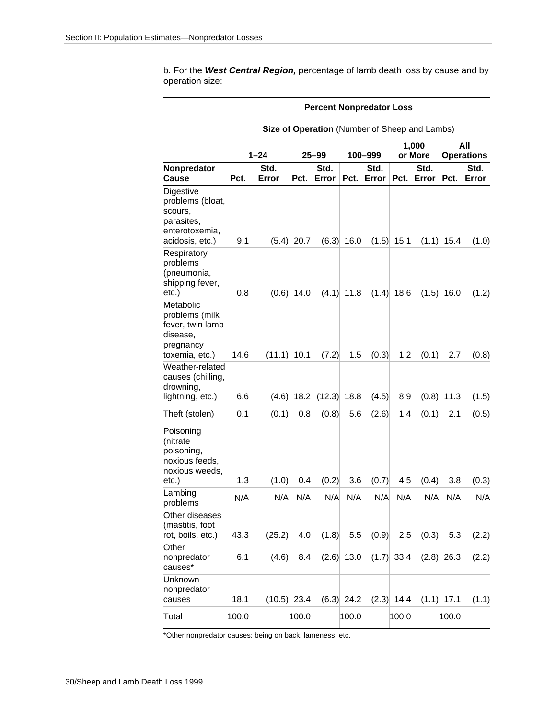b. For the *West Central Region,* percentage of lamb death loss by cause and by operation size:

#### **Percent Nonpredator Loss**

|                                                                                             | $1 - 24$ |               |               | $25 - 99$     |              | 100–999            | 1,000<br>or More |                                            | All<br><b>Operations</b> |               |
|---------------------------------------------------------------------------------------------|----------|---------------|---------------|---------------|--------------|--------------------|------------------|--------------------------------------------|--------------------------|---------------|
| Nonpredator<br>Cause                                                                        | Pct.     | Std.<br>Error | Pct.          | Std.<br>Error |              | Std.<br>Pct. Error |                  | Std.<br>Pct. Error                         | Pct.                     | Std.<br>Error |
| Digestive<br>problems (bloat,<br>scours,<br>parasites,<br>enterotoxemia,<br>acidosis, etc.) | 9.1      |               | $(5.4)$ 20.7  | (6.3)         | 16.0         |                    | $(1.5)$ 15.1     | (1.1)                                      | 15.4                     | (1.0)         |
| Respiratory<br>problems<br>(pneumonia,<br>shipping fever,<br>etc.)                          | 0.8      | (0.6)         | 14.0          | (4.1)         | 11.8         | (1.4)              | 18.6             | (1.5)                                      | 16.0                     | (1.2)         |
| Metabolic<br>problems (milk<br>fever, twin lamb<br>disease,<br>pregnancy<br>toxemia, etc.)  | 14.6     | (11.1)        | 10.1          | (7.2)         | 1.5          | (0.3)              | 1.2              | (0.1)                                      | 2.7                      | (0.8)         |
| Weather-related<br>causes (chilling,<br>drowning,<br>lightning, etc.)                       | 6.6      | (4.6)         |               | $18.2$ (12.3) | 18.8         | (4.5)              | 8.9              | (0.8)                                      | 11.3                     | (1.5)         |
| Theft (stolen)                                                                              | 0.1      | (0.1)         | 0.8           | (0.8)         | 5.6          | (2.6)              | 1.4              | (0.1)                                      | 2.1                      | (0.5)         |
| Poisoning<br>(nitrate<br>poisoning,<br>noxious feeds,<br>noxious weeds,<br>etc.)            | 1.3      | (1.0)         | 0.4           | (0.2)         | 3.6          | (0.7)              | 4.5              | (0.4)                                      | 3.8                      | (0.3)         |
| Lambing<br>problems                                                                         | N/A      | N/A           | N/A           | N/A           | N/A          | N/A                | N/A              | N/A                                        | N/A                      | N/A           |
| Other diseases<br>(mastitis, foot<br>rot, boils, etc.)                                      | 43.3     | (25.2)        | 4.0           | (1.8)         | 5.5          | (0.9)              | 2.5              | (0.3)                                      | 5.3                      | (2.2)         |
| Other<br>nonpredator<br>causes*                                                             | 6.1      | (4.6)         |               |               |              |                    |                  | 8.4 $(2.6)$ 13.0 $(1.7)$ 33.4 $(2.8)$ 26.3 |                          | (2.2)         |
| Unknown<br>nonpredator<br>causes                                                            | 18.1     |               | $(10.5)$ 23.4 |               | $(6.3)$ 24.2 |                    | $(2.3)$ 14.4     |                                            | $(1.1)$ 17.1             | (1.1)         |
| Total                                                                                       | 100.0    |               | 100.0         |               | 100.0        |                    | 100.0            |                                            | 100.0                    |               |

**Size of Operation** (Number of Sheep and Lambs)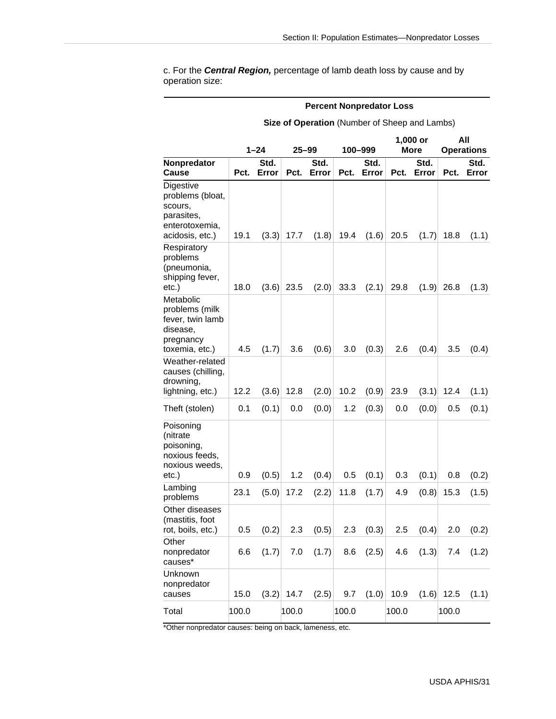c. For the *Central Region,* percentage of lamb death loss by cause and by operation size:

#### **Percent Nonpredator Loss**

**Size of Operation** (Number of Sheep and Lambs)

|                                                                                             | $1 - 24$ |               | 25–99   |               |       | 100-999       | 1,000 or<br><b>More</b> |               | All<br><b>Operations</b> |               |
|---------------------------------------------------------------------------------------------|----------|---------------|---------|---------------|-------|---------------|-------------------------|---------------|--------------------------|---------------|
|                                                                                             |          |               |         |               |       |               |                         |               |                          |               |
| Nonpredator<br>Cause                                                                        | Pct.     | Std.<br>Error | Pct.    | Std.<br>Error | Pct.  | Std.<br>Error | Pct.                    | Std.<br>Error | Pct.                     | Std.<br>Error |
| Digestive<br>problems (bloat,<br>scours,<br>parasites,<br>enterotoxemia,<br>acidosis, etc.) | 19.1     | (3.3)         | 17.7    | (1.8)         | 19.4  | (1.6)         | 20.5                    | (1.7)         | 18.8                     | (1.1)         |
| Respiratory<br>problems<br>(pneumonia,<br>shipping fever,<br>etc.)                          | 18.0     | (3.6)         | 23.5    | (2.0)         | 33.3  | (2.1)         | 29.8                    | (1.9)         | 26.8                     | (1.3)         |
| Metabolic<br>problems (milk<br>fever, twin lamb<br>disease,<br>pregnancy<br>toxemia, etc.)  | 4.5      | (1.7)         | 3.6     | (0.6)         | 3.0   | (0.3)         | 2.6                     | (0.4)         | 3.5                      | (0.4)         |
| Weather-related<br>causes (chilling,<br>drowning,<br>lightning, etc.)                       | 12.2     | (3.6)         | 12.8    | (2.0)         | 10.2  | (0.9)         | 23.9                    | (3.1)         | 12.4                     | (1.1)         |
| Theft (stolen)                                                                              | 0.1      | (0.1)         | 0.0     | (0.0)         | 1.2   | (0.3)         | 0.0                     | (0.0)         | 0.5                      | (0.1)         |
| Poisoning<br>(nitrate<br>poisoning,<br>noxious feeds,<br>noxious weeds,<br>etc.)            | 0.9      | (0.5)         | 1.2     | (0.4)         | 0.5   | (0.1)         | 0.3                     | (0.1)         | 0.8                      | (0.2)         |
| Lambing<br>problems                                                                         | 23.1     | (5.0)         | 17.2    | (2.2)         | 11.8  | (1.7)         | 4.9                     | (0.8)         | 15.3                     | (1.5)         |
| Other diseases<br>(mastitis, foot<br>rot, boils, etc.)                                      | 0.5      | (0.2)         | 2.3     | (0.5)         | 2.3   | (0.3)         | 2.5                     | (0.4)         | 2.0                      | (0.2)         |
| Other<br>nonpredator<br>causes*                                                             | 6.6      | (1.7)         | $7.0\,$ | (1.7)         | 8.6   | (2.5)         | 4.6                     | (1.3)         | 7.4                      | (1.2)         |
| Unknown<br>nonpredator<br>causes                                                            | 15.0     | (3.2)         | 14.7    | (2.5)         | 9.7   | (1.0)         | 10.9                    |               | $(1.6)$ 12.5             | (1.1)         |
| Total                                                                                       | 100.0    |               | 100.0   |               | 100.0 |               | 100.0                   |               | 100.0                    |               |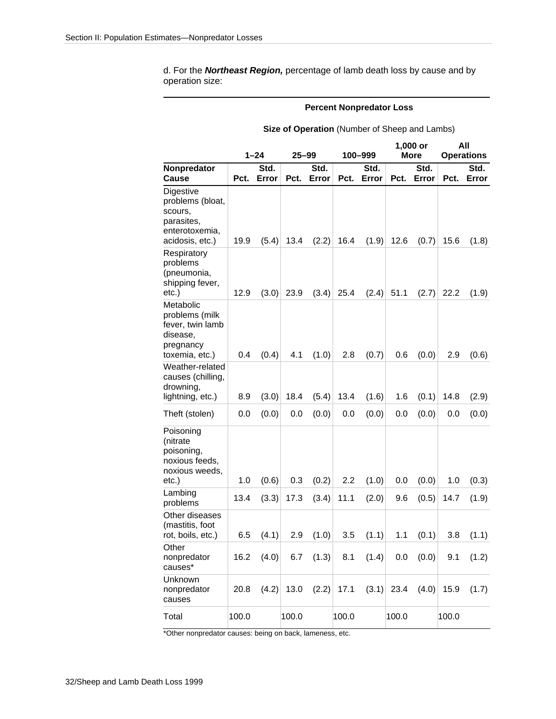d. For the *Northeast Region,* percentage of lamb death loss by cause and by operation size:

#### **Percent Nonpredator Loss**

| Size of Operation (Number of Sheep and Lambs) |  |  |
|-----------------------------------------------|--|--|
|-----------------------------------------------|--|--|

|                                                                                             |       | $1 - 24$      | 25–99 |               | 100-999 |               | $1,000$ or<br><b>More</b> |               | All<br><b>Operations</b> |               |
|---------------------------------------------------------------------------------------------|-------|---------------|-------|---------------|---------|---------------|---------------------------|---------------|--------------------------|---------------|
| Nonpredator<br>Cause                                                                        | Pct.  | Std.<br>Error | Pct.  | Std.<br>Error | Pct.    | Std.<br>Error | Pct.                      | Std.<br>Error | Pct.                     | Std.<br>Error |
| Digestive<br>problems (bloat,<br>scours,<br>parasites,<br>enterotoxemia,<br>acidosis, etc.) | 19.9  | (5.4)         | 13.4  | (2.2)         | 16.4    | (1.9)         | 12.6                      | (0.7)         | 15.6                     | (1.8)         |
| Respiratory<br>problems<br>(pneumonia,<br>shipping fever,<br>etc.)                          | 12.9  | (3.0)         | 23.9  | (3.4)         | 25.4    | (2.4)         | 51.1                      | (2.7)         | 22.2                     | (1.9)         |
| Metabolic<br>problems (milk<br>fever, twin lamb<br>disease,<br>pregnancy<br>toxemia, etc.)  | 0.4   | (0.4)         | 4.1   | (1.0)         | 2.8     | (0.7)         | 0.6                       | (0.0)         | 2.9                      | (0.6)         |
| Weather-related<br>causes (chilling,<br>drowning,<br>lightning, etc.)                       | 8.9   | (3.0)         | 18.4  | (5.4)         | 13.4    | (1.6)         | 1.6                       | (0.1)         | 14.8                     | (2.9)         |
| Theft (stolen)                                                                              | 0.0   | (0.0)         | 0.0   | (0.0)         | 0.0     | (0.0)         | 0.0                       | (0.0)         | 0.0                      | (0.0)         |
| Poisoning<br>(nitrate<br>poisoning,<br>noxious feeds,<br>noxious weeds,<br>etc.)            | 1.0   | (0.6)         | 0.3   | (0.2)         | 2.2     | (1.0)         | 0.0                       | (0.0)         | 1.0                      | (0.3)         |
| Lambing<br>problems                                                                         | 13.4  | (3.3)         | 17.3  | (3.4)         | 11.1    | (2.0)         | 9.6                       | (0.5)         | 14.7                     | (1.9)         |
| Other diseases<br>(mastitis, foot<br>rot, boils, etc.)                                      | 6.5   | (4.1)         | 2.9   | (1.0)         | 3.5     | (1.1)         | 1.1                       | (0.1)         | 3.8                      | (1.1)         |
| Other<br>nonpredator<br>causes*                                                             | 16.2  | (4.0)         |       | 6.7 $(1.3)$   | 8.1     | (1.4)         | 0.0                       | (0.0)         | 9.1                      | (1.2)         |
| Unknown<br>nonpredator<br>causes                                                            | 20.8  | (4.2)         | 13.0  | (2.2)         | 17.1    | (3.1)         | 23.4                      | (4.0)         | 15.9                     | (1.7)         |
| Total                                                                                       | 100.0 |               | 100.0 |               | 100.0   |               | 100.0                     |               | 100.0                    |               |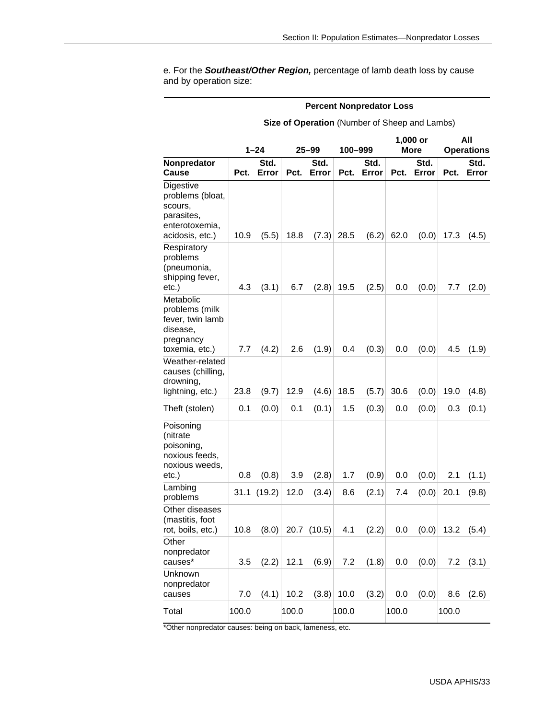e. For the *Southeast/Other Region,* percentage of lamb death loss by cause and by operation size:

#### **Percent Nonpredator Loss**

**Size of Operation** (Number of Sheep and Lambs)

|                                                                                             | 1–24  |        | 25–99 |        |       | 100-999 |       | 1,000 or<br><b>More</b> | All<br><b>Operations</b> |       |
|---------------------------------------------------------------------------------------------|-------|--------|-------|--------|-------|---------|-------|-------------------------|--------------------------|-------|
| <b>Nonpredator</b>                                                                          |       | Std.   |       | Std.   |       | Std.    |       | Std.                    |                          | Std.  |
| Cause                                                                                       | Pct.  | Error  | Pct.  | Error  | Pct.  | Error   | Pct.  | Error                   | Pct.                     | Error |
| Digestive<br>problems (bloat,<br>scours,<br>parasites,<br>enterotoxemia,<br>acidosis, etc.) | 10.9  | (5.5)  | 18.8  | (7.3)  | 28.5  | (6.2)   | 62.0  | (0.0)                   | 17.3                     | (4.5) |
| Respiratory<br>problems<br>(pneumonia,<br>shipping fever,<br>etc.)                          | 4.3   | (3.1)  | 6.7   | (2.8)  | 19.5  | (2.5)   | 0.0   | (0.0)                   | 7.7                      | (2.0) |
| Metabolic<br>problems (milk<br>fever, twin lamb<br>disease,<br>pregnancy<br>toxemia, etc.)  | 7.7   | (4.2)  | 2.6   | (1.9)  | 0.4   | (0.3)   | 0.0   | (0.0)                   | 4.5                      | (1.9) |
| Weather-related<br>causes (chilling,<br>drowning,<br>lightning, etc.)                       | 23.8  | (9.7)  | 12.9  | (4.6)  | 18.5  | (5.7)   | 30.6  | (0.0)                   | 19.0                     | (4.8) |
| Theft (stolen)                                                                              | 0.1   | (0.0)  | 0.1   | (0.1)  | 1.5   | (0.3)   | 0.0   | (0.0)                   | 0.3                      | (0.1) |
| Poisoning<br>(nitrate<br>poisoning,<br>noxious feeds,<br>noxious weeds,<br>etc.)            | 0.8   | (0.8)  | 3.9   | (2.8)  | 1.7   | (0.9)   | 0.0   | (0.0)                   | 2.1                      | (1.1) |
| Lambing<br>problems                                                                         | 31.1  | (19.2) | 12.0  | (3.4)  | 8.6   | (2.1)   | 7.4   | (0.0)                   | 20.1                     | (9.8) |
| Other diseases<br>(mastitis, foot<br>rot, boils, etc.)                                      | 10.8  | (8.0)  | 20.7  | (10.5) | 4.1   | (2.2)   | 0.0   | (0.0)                   | 13.2                     | (5.4) |
| Other<br>nonpredator<br>causes*                                                             | 3.5   | (2.2)  | 12.1  | (6.9)  | 7.2   | (1.8)   | 0.0   | (0.0)                   | 7.2                      | (3.1) |
| Unknown<br>nonpredator<br>causes                                                            | 7.0   | (4.1)  | 10.2  | (3.8)  | 10.0  | (3.2)   | 0.0   | (0.0)                   | 8.6                      | (2.6) |
| Total                                                                                       | 100.0 |        | 100.0 |        | 100.0 |         | 100.0 |                         | 100.0                    |       |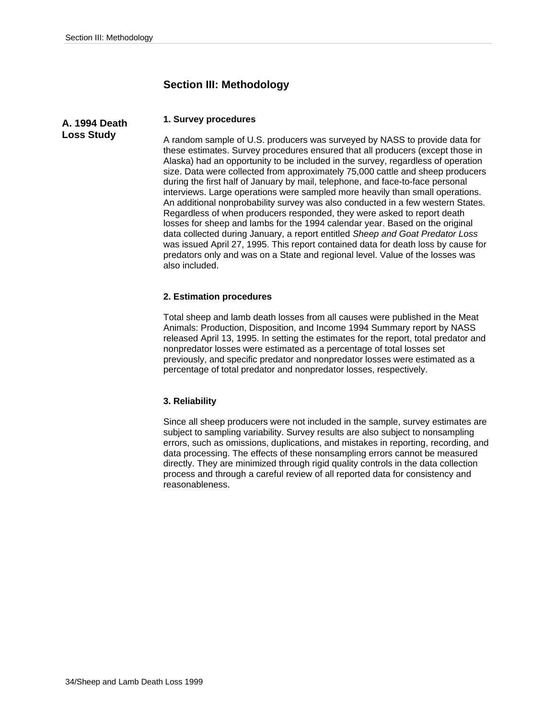**Loss Study** 

# **Section III: Methodology**

#### **1. Survey procedures A. 1994 Death**

A random sample of U.S. producers was surveyed by NASS to provide data for these estimates. Survey procedures ensured that all producers (except those in Alaska) had an opportunity to be included in the survey, regardless of operation size. Data were collected from approximately 75,000 cattle and sheep producers during the first half of January by mail, telephone, and face-to-face personal interviews. Large operations were sampled more heavily than small operations. An additional nonprobability survey was also conducted in a few western States. Regardless of when producers responded, they were asked to report death losses for sheep and lambs for the 1994 calendar year. Based on the original data collected during January, a report entitled *Sheep and Goat Predator Loss* was issued April 27, 1995. This report contained data for death loss by cause for predators only and was on a State and regional level. Value of the losses was also included.

#### **2. Estimation procedures**

Total sheep and lamb death losses from all causes were published in the Meat Animals: Production, Disposition, and Income 1994 Summary report by NASS released April 13, 1995. In setting the estimates for the report, total predator and nonpredator losses were estimated as a percentage of total losses set previously, and specific predator and nonpredator losses were estimated as a percentage of total predator and nonpredator losses, respectively.

#### **3. Reliability**

Since all sheep producers were not included in the sample, survey estimates are subject to sampling variability. Survey results are also subject to nonsampling errors, such as omissions, duplications, and mistakes in reporting, recording, and data processing. The effects of these nonsampling errors cannot be measured directly. They are minimized through rigid quality controls in the data collection process and through a careful review of all reported data for consistency and reasonableness.